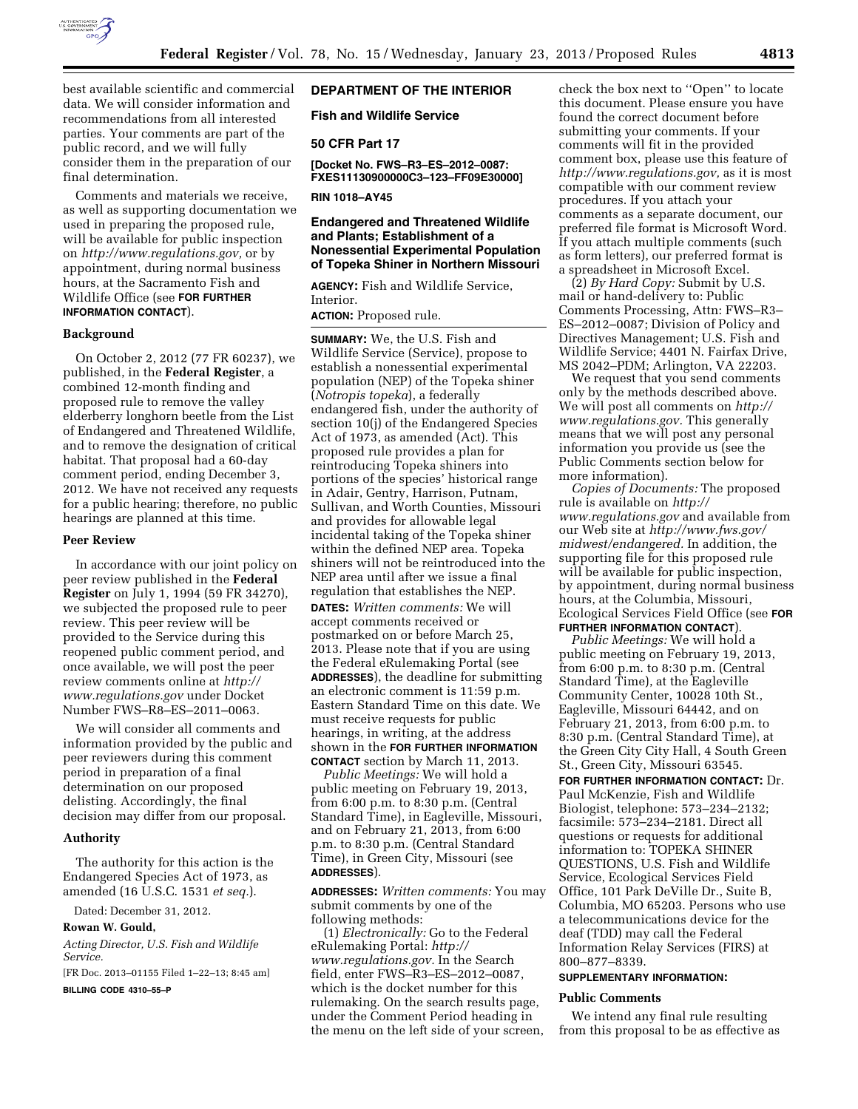

best available scientific and commercial data. We will consider information and recommendations from all interested parties. Your comments are part of the public record, and we will fully consider them in the preparation of our final determination.

Comments and materials we receive, as well as supporting documentation we used in preparing the proposed rule, will be available for public inspection on *[http://www.regulations.gov,](http://www.regulations.gov)* or by appointment, during normal business hours, at the Sacramento Fish and Wildlife Office (see **FOR FURTHER INFORMATION CONTACT**).

#### **Background**

On October 2, 2012 (77 FR 60237), we published, in the **Federal Register**, a combined 12-month finding and proposed rule to remove the valley elderberry longhorn beetle from the List of Endangered and Threatened Wildlife, and to remove the designation of critical habitat. That proposal had a 60-day comment period, ending December 3, 2012. We have not received any requests for a public hearing; therefore, no public hearings are planned at this time.

#### **Peer Review**

In accordance with our joint policy on peer review published in the **Federal Register** on July 1, 1994 (59 FR 34270), we subjected the proposed rule to peer review. This peer review will be provided to the Service during this reopened public comment period, and once available, we will post the peer review comments online at *[http://](http://www.regulations.gov)  [www.regulations.gov](http://www.regulations.gov)* under Docket Number FWS–R8–ES–2011–0063.

We will consider all comments and information provided by the public and peer reviewers during this comment period in preparation of a final determination on our proposed delisting. Accordingly, the final decision may differ from our proposal.

### **Authority**

The authority for this action is the Endangered Species Act of 1973, as amended (16 U.S.C. 1531 *et seq.*).

Dated: December 31, 2012.

### **Rowan W. Gould,**

*Acting Director, U.S. Fish and Wildlife Service.* 

[FR Doc. 2013–01155 Filed 1–22–13; 8:45 am]

**BILLING CODE 4310–55–P** 

# **DEPARTMENT OF THE INTERIOR**

**Fish and Wildlife Service** 

### **50 CFR Part 17**

**[Docket No. FWS–R3–ES–2012–0087: FXES11130900000C3–123–FF09E30000]** 

**RIN 1018–AY45** 

# **Endangered and Threatened Wildlife and Plants; Establishment of a Nonessential Experimental Population of Topeka Shiner in Northern Missouri**

**AGENCY:** Fish and Wildlife Service, Interior.

# **ACTION:** Proposed rule.

**SUMMARY:** We, the U.S. Fish and Wildlife Service (Service), propose to establish a nonessential experimental population (NEP) of the Topeka shiner (*Notropis topeka*), a federally endangered fish, under the authority of section 10(j) of the Endangered Species Act of 1973, as amended (Act). This proposed rule provides a plan for reintroducing Topeka shiners into portions of the species' historical range in Adair, Gentry, Harrison, Putnam, Sullivan, and Worth Counties, Missouri and provides for allowable legal incidental taking of the Topeka shiner within the defined NEP area. Topeka shiners will not be reintroduced into the NEP area until after we issue a final regulation that establishes the NEP. **DATES:** *Written comments:* We will accept comments received or postmarked on or before March 25, 2013. Please note that if you are using the Federal eRulemaking Portal (see **ADDRESSES**), the deadline for submitting an electronic comment is 11:59 p.m. Eastern Standard Time on this date. We must receive requests for public hearings, in writing, at the address shown in the **FOR FURTHER INFORMATION CONTACT** section by March 11, 2013.

*Public Meetings:* We will hold a public meeting on February 19, 2013, from 6:00 p.m. to 8:30 p.m. (Central Standard Time), in Eagleville, Missouri, and on February 21, 2013, from 6:00 p.m. to 8:30 p.m. (Central Standard Time), in Green City, Missouri (see **ADDRESSES**).

**ADDRESSES:** *Written comments:* You may submit comments by one of the following methods:

(1) *Electronically:* Go to the Federal eRulemaking Portal: *[http://](http://www.regulations.gov) [www.regulations.gov.](http://www.regulations.gov)* In the Search field, enter FWS–R3–ES–2012–0087, which is the docket number for this rulemaking. On the search results page, under the Comment Period heading in the menu on the left side of your screen,

check the box next to ''Open'' to locate this document. Please ensure you have found the correct document before submitting your comments. If your comments will fit in the provided comment box, please use this feature of *[http://www.regulations.gov,](http://www.regulations.gov)* as it is most compatible with our comment review procedures. If you attach your comments as a separate document, our preferred file format is Microsoft Word. If you attach multiple comments (such as form letters), our preferred format is a spreadsheet in Microsoft Excel.

(2) *By Hard Copy:* Submit by U.S. mail or hand-delivery to: Public Comments Processing, Attn: FWS–R3– ES–2012–0087; Division of Policy and Directives Management; U.S. Fish and Wildlife Service; 4401 N. Fairfax Drive, MS 2042–PDM; Arlington, VA 22203.

We request that you send comments only by the methods described above. We will post all comments on *[http://](http://www.regulations.gov) [www.regulations.gov.](http://www.regulations.gov)* This generally means that we will post any personal information you provide us (see the Public Comments section below for more information).

*Copies of Documents:* The proposed rule is available on *[http://](http://www.regulations.gov) [www.regulations.gov](http://www.regulations.gov)* and available from our Web site at *[http://www.fws.gov/](http://www.fws.gov/midwest/endangered)  [midwest/endangered.](http://www.fws.gov/midwest/endangered)* In addition, the supporting file for this proposed rule will be available for public inspection, by appointment, during normal business hours, at the Columbia, Missouri, Ecological Services Field Office (see **FOR FURTHER INFORMATION CONTACT**).

*Public Meetings:* We will hold a public meeting on February 19, 2013, from 6:00 p.m. to 8:30 p.m. (Central Standard Time), at the Eagleville Community Center, 10028 10th St., Eagleville, Missouri 64442, and on February 21, 2013, from 6:00 p.m. to 8:30 p.m. (Central Standard Time), at the Green City City Hall, 4 South Green St., Green City, Missouri 63545.

**FOR FURTHER INFORMATION CONTACT:** Dr. Paul McKenzie, Fish and Wildlife Biologist, telephone: 573–234–2132; facsimile: 573–234–2181. Direct all questions or requests for additional information to: TOPEKA SHINER QUESTIONS, U.S. Fish and Wildlife Service, Ecological Services Field Office, 101 Park DeVille Dr., Suite B, Columbia, MO 65203. Persons who use a telecommunications device for the deaf (TDD) may call the Federal Information Relay Services (FIRS) at 800–877–8339.

# **SUPPLEMENTARY INFORMATION:**

#### **Public Comments**

We intend any final rule resulting from this proposal to be as effective as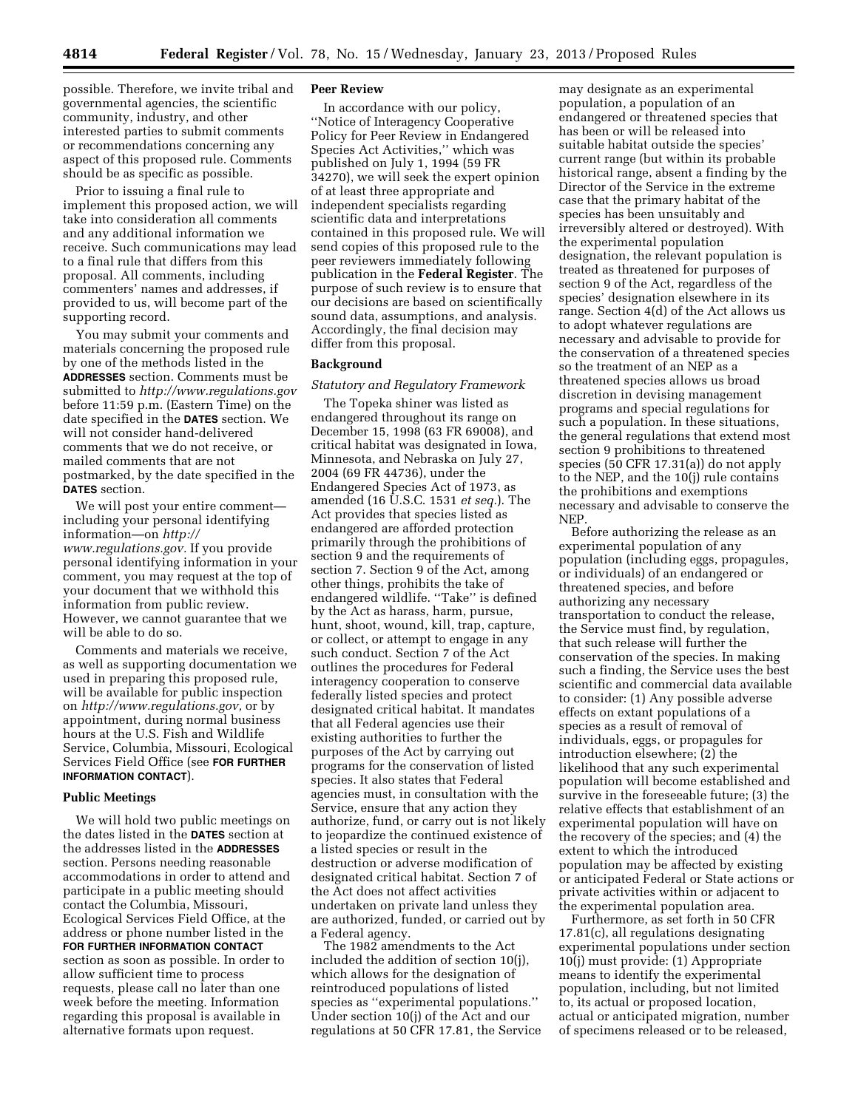possible. Therefore, we invite tribal and governmental agencies, the scientific community, industry, and other interested parties to submit comments or recommendations concerning any aspect of this proposed rule. Comments should be as specific as possible.

Prior to issuing a final rule to implement this proposed action, we will take into consideration all comments and any additional information we receive. Such communications may lead to a final rule that differs from this proposal. All comments, including commenters' names and addresses, if provided to us, will become part of the supporting record.

You may submit your comments and materials concerning the proposed rule by one of the methods listed in the **ADDRESSES** section. Comments must be submitted to *<http://www.regulations.gov>* before 11:59 p.m. (Eastern Time) on the date specified in the **DATES** section. We will not consider hand-delivered comments that we do not receive, or mailed comments that are not postmarked, by the date specified in the **DATES** section.

We will post your entire comment including your personal identifying information—on *[http://](http://www.regulations.gov) [www.regulations.gov.](http://www.regulations.gov)* If you provide personal identifying information in your comment, you may request at the top of your document that we withhold this information from public review. However, we cannot guarantee that we will be able to do so.

Comments and materials we receive, as well as supporting documentation we used in preparing this proposed rule, will be available for public inspection on *[http://www.regulations.gov,](http://www.regulations.gov)* or by appointment, during normal business hours at the U.S. Fish and Wildlife Service, Columbia, Missouri, Ecological Services Field Office (see **FOR FURTHER INFORMATION CONTACT**).

#### **Public Meetings**

We will hold two public meetings on the dates listed in the **DATES** section at the addresses listed in the **ADDRESSES** section. Persons needing reasonable accommodations in order to attend and participate in a public meeting should contact the Columbia, Missouri, Ecological Services Field Office, at the address or phone number listed in the **FOR FURTHER INFORMATION CONTACT** section as soon as possible. In order to allow sufficient time to process requests, please call no later than one week before the meeting. Information regarding this proposal is available in alternative formats upon request.

### **Peer Review**

In accordance with our policy, ''Notice of Interagency Cooperative Policy for Peer Review in Endangered Species Act Activities,'' which was published on July 1, 1994 (59 FR 34270), we will seek the expert opinion of at least three appropriate and independent specialists regarding scientific data and interpretations contained in this proposed rule. We will send copies of this proposed rule to the peer reviewers immediately following publication in the **Federal Register**. The purpose of such review is to ensure that our decisions are based on scientifically sound data, assumptions, and analysis. Accordingly, the final decision may differ from this proposal.

### **Background**

## *Statutory and Regulatory Framework*

The Topeka shiner was listed as endangered throughout its range on December 15, 1998 (63 FR 69008), and critical habitat was designated in Iowa, Minnesota, and Nebraska on July 27, 2004 (69 FR 44736), under the Endangered Species Act of 1973, as amended (16 U.S.C. 1531 *et seq.*). The Act provides that species listed as endangered are afforded protection primarily through the prohibitions of section 9 and the requirements of section 7. Section 9 of the Act, among other things, prohibits the take of endangered wildlife. ''Take'' is defined by the Act as harass, harm, pursue, hunt, shoot, wound, kill, trap, capture, or collect, or attempt to engage in any such conduct. Section 7 of the Act outlines the procedures for Federal interagency cooperation to conserve federally listed species and protect designated critical habitat. It mandates that all Federal agencies use their existing authorities to further the purposes of the Act by carrying out programs for the conservation of listed species. It also states that Federal agencies must, in consultation with the Service, ensure that any action they authorize, fund, or carry out is not likely to jeopardize the continued existence of a listed species or result in the destruction or adverse modification of designated critical habitat. Section 7 of the Act does not affect activities undertaken on private land unless they are authorized, funded, or carried out by a Federal agency.

The 1982 amendments to the Act included the addition of section 10(j), which allows for the designation of reintroduced populations of listed species as ''experimental populations.'' Under section 10(j) of the Act and our regulations at 50 CFR 17.81, the Service may designate as an experimental population, a population of an endangered or threatened species that has been or will be released into suitable habitat outside the species' current range (but within its probable historical range, absent a finding by the Director of the Service in the extreme case that the primary habitat of the species has been unsuitably and irreversibly altered or destroyed). With the experimental population designation, the relevant population is treated as threatened for purposes of section 9 of the Act, regardless of the species' designation elsewhere in its range. Section 4(d) of the Act allows us to adopt whatever regulations are necessary and advisable to provide for the conservation of a threatened species so the treatment of an NEP as a threatened species allows us broad discretion in devising management programs and special regulations for such a population. In these situations, the general regulations that extend most section 9 prohibitions to threatened species (50 CFR 17.31(a)) do not apply to the NEP, and the 10(j) rule contains the prohibitions and exemptions necessary and advisable to conserve the NEP.

Before authorizing the release as an experimental population of any population (including eggs, propagules, or individuals) of an endangered or threatened species, and before authorizing any necessary transportation to conduct the release, the Service must find, by regulation, that such release will further the conservation of the species. In making such a finding, the Service uses the best scientific and commercial data available to consider: (1) Any possible adverse effects on extant populations of a species as a result of removal of individuals, eggs, or propagules for introduction elsewhere; (2) the likelihood that any such experimental population will become established and survive in the foreseeable future; (3) the relative effects that establishment of an experimental population will have on the recovery of the species; and (4) the extent to which the introduced population may be affected by existing or anticipated Federal or State actions or private activities within or adjacent to the experimental population area.

Furthermore, as set forth in 50 CFR 17.81(c), all regulations designating experimental populations under section 10(j) must provide: (1) Appropriate means to identify the experimental population, including, but not limited to, its actual or proposed location, actual or anticipated migration, number of specimens released or to be released,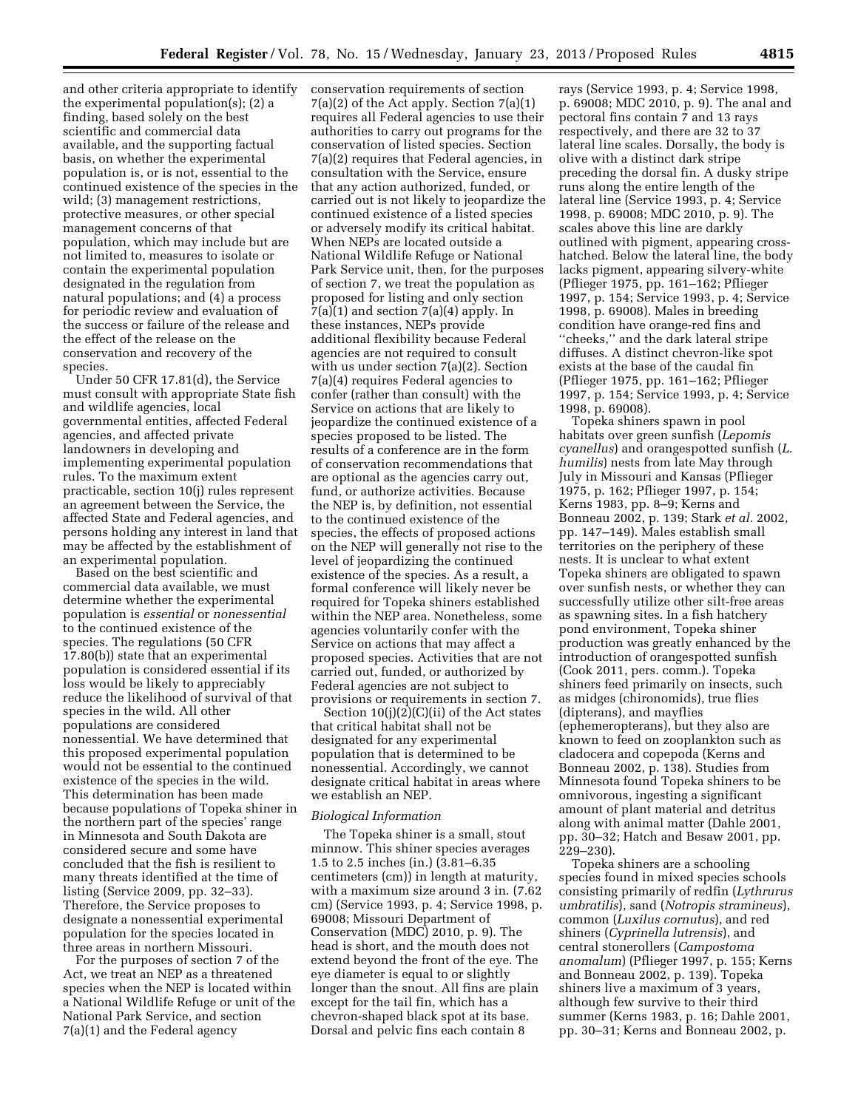and other criteria appropriate to identify the experimental population(s); (2) a finding, based solely on the best scientific and commercial data available, and the supporting factual basis, on whether the experimental population is, or is not, essential to the continued existence of the species in the wild; (3) management restrictions, protective measures, or other special management concerns of that population, which may include but are not limited to, measures to isolate or contain the experimental population designated in the regulation from natural populations; and (4) a process for periodic review and evaluation of the success or failure of the release and the effect of the release on the conservation and recovery of the species.

Under 50 CFR 17.81(d), the Service must consult with appropriate State fish and wildlife agencies, local governmental entities, affected Federal agencies, and affected private landowners in developing and implementing experimental population rules. To the maximum extent practicable, section 10(j) rules represent an agreement between the Service, the affected State and Federal agencies, and persons holding any interest in land that may be affected by the establishment of an experimental population.

Based on the best scientific and commercial data available, we must determine whether the experimental population is *essential* or *nonessential*  to the continued existence of the species. The regulations (50 CFR 17.80(b)) state that an experimental population is considered essential if its loss would be likely to appreciably reduce the likelihood of survival of that species in the wild. All other populations are considered nonessential. We have determined that this proposed experimental population would not be essential to the continued existence of the species in the wild. This determination has been made because populations of Topeka shiner in the northern part of the species' range in Minnesota and South Dakota are considered secure and some have concluded that the fish is resilient to many threats identified at the time of listing (Service 2009, pp. 32–33). Therefore, the Service proposes to designate a nonessential experimental population for the species located in three areas in northern Missouri.

For the purposes of section 7 of the Act, we treat an NEP as a threatened species when the NEP is located within a National Wildlife Refuge or unit of the National Park Service, and section 7(a)(1) and the Federal agency

conservation requirements of section 7(a)(2) of the Act apply. Section 7(a)(1) requires all Federal agencies to use their authorities to carry out programs for the conservation of listed species. Section 7(a)(2) requires that Federal agencies, in consultation with the Service, ensure that any action authorized, funded, or carried out is not likely to jeopardize the continued existence of a listed species or adversely modify its critical habitat. When NEPs are located outside a National Wildlife Refuge or National Park Service unit, then, for the purposes of section 7, we treat the population as proposed for listing and only section 7(a)(1) and section 7(a)(4) apply. In these instances, NEPs provide additional flexibility because Federal agencies are not required to consult with us under section 7(a)(2). Section 7(a)(4) requires Federal agencies to confer (rather than consult) with the Service on actions that are likely to jeopardize the continued existence of a species proposed to be listed. The results of a conference are in the form of conservation recommendations that are optional as the agencies carry out, fund, or authorize activities. Because the NEP is, by definition, not essential to the continued existence of the species, the effects of proposed actions on the NEP will generally not rise to the level of jeopardizing the continued existence of the species. As a result, a formal conference will likely never be required for Topeka shiners established within the NEP area. Nonetheless, some agencies voluntarily confer with the Service on actions that may affect a proposed species. Activities that are not carried out, funded, or authorized by Federal agencies are not subject to provisions or requirements in section 7.

Section 10(j)(2)(C)(ii) of the Act states that critical habitat shall not be designated for any experimental population that is determined to be nonessential. Accordingly, we cannot designate critical habitat in areas where we establish an NEP.

#### *Biological Information*

The Topeka shiner is a small, stout minnow. This shiner species averages 1.5 to 2.5 inches (in.) (3.81–6.35 centimeters (cm)) in length at maturity, with a maximum size around 3 in. (7.62 cm) (Service 1993, p. 4; Service 1998, p. 69008; Missouri Department of Conservation (MDC) 2010, p. 9). The head is short, and the mouth does not extend beyond the front of the eye. The eye diameter is equal to or slightly longer than the snout. All fins are plain except for the tail fin, which has a chevron-shaped black spot at its base. Dorsal and pelvic fins each contain 8

rays (Service 1993, p. 4; Service 1998, p. 69008; MDC 2010, p. 9). The anal and pectoral fins contain 7 and 13 rays respectively, and there are 32 to 37 lateral line scales. Dorsally, the body is olive with a distinct dark stripe preceding the dorsal fin. A dusky stripe runs along the entire length of the lateral line (Service 1993, p. 4; Service 1998, p. 69008; MDC 2010, p. 9). The scales above this line are darkly outlined with pigment, appearing crosshatched. Below the lateral line, the body lacks pigment, appearing silvery-white (Pflieger 1975, pp. 161–162; Pflieger 1997, p. 154; Service 1993, p. 4; Service 1998, p. 69008). Males in breeding condition have orange-red fins and ''cheeks,'' and the dark lateral stripe diffuses. A distinct chevron-like spot exists at the base of the caudal fin (Pflieger 1975, pp. 161–162; Pflieger 1997, p. 154; Service 1993, p. 4; Service 1998, p. 69008).

Topeka shiners spawn in pool habitats over green sunfish (*Lepomis cyanellus*) and orangespotted sunfish (*L. humilis*) nests from late May through July in Missouri and Kansas (Pflieger 1975, p. 162; Pflieger 1997, p. 154; Kerns 1983, pp. 8–9; Kerns and Bonneau 2002, p. 139; Stark *et al.* 2002, pp. 147–149). Males establish small territories on the periphery of these nests. It is unclear to what extent Topeka shiners are obligated to spawn over sunfish nests, or whether they can successfully utilize other silt-free areas as spawning sites. In a fish hatchery pond environment, Topeka shiner production was greatly enhanced by the introduction of orangespotted sunfish (Cook 2011, pers. comm.). Topeka shiners feed primarily on insects, such as midges (chironomids), true flies (dipterans), and mayflies (ephemeropterans), but they also are known to feed on zooplankton such as cladocera and copepoda (Kerns and Bonneau 2002, p. 138). Studies from Minnesota found Topeka shiners to be omnivorous, ingesting a significant amount of plant material and detritus along with animal matter (Dahle 2001, pp. 30–32; Hatch and Besaw 2001, pp. 229–230).

Topeka shiners are a schooling species found in mixed species schools consisting primarily of redfin (*Lythrurus umbratilis*), sand (*Notropis stramineus*), common (*Luxilus cornutus*), and red shiners (*Cyprinella lutrensis*), and central stonerollers (*Campostoma anomalum*) (Pflieger 1997, p. 155; Kerns and Bonneau 2002, p. 139). Topeka shiners live a maximum of 3 years, although few survive to their third summer (Kerns 1983, p. 16; Dahle 2001, pp. 30–31; Kerns and Bonneau 2002, p.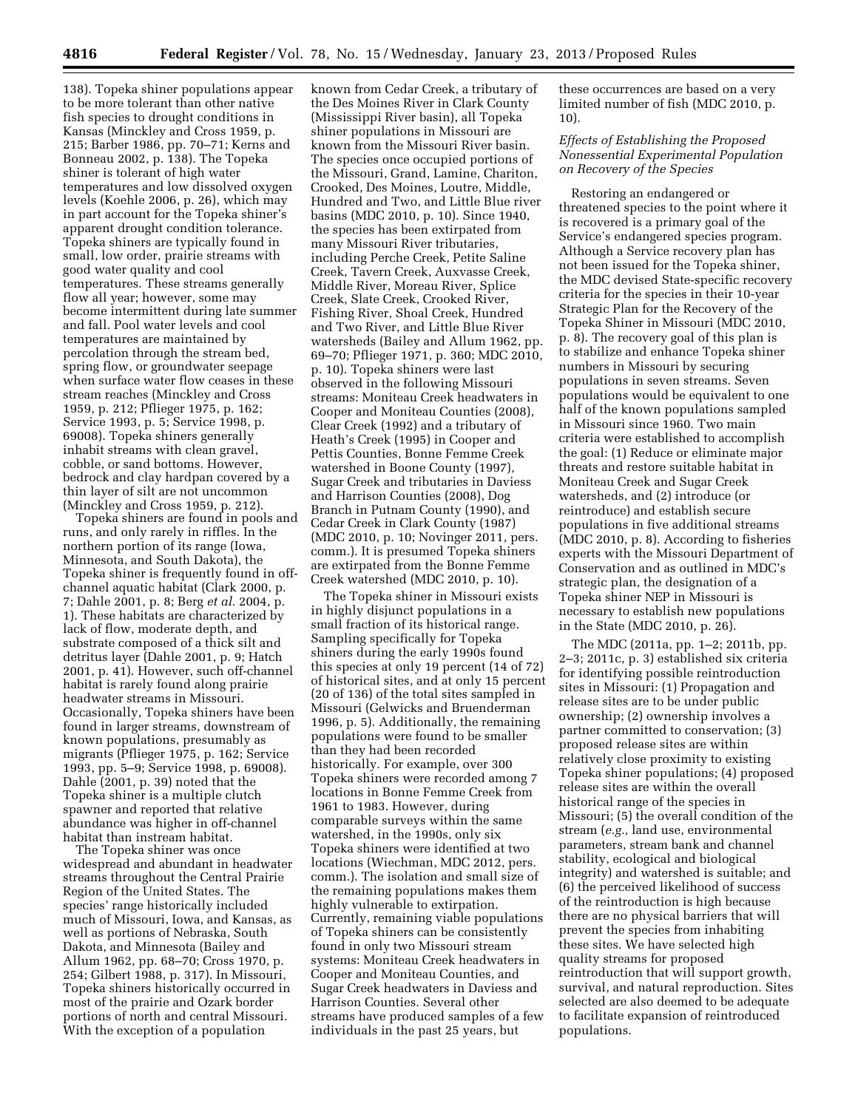138). Topeka shiner populations appear to be more tolerant than other native fish species to drought conditions in Kansas (Minckley and Cross 1959, p. 215; Barber 1986, pp. 70–71; Kerns and Bonneau 2002, p. 138). The Topeka shiner is tolerant of high water temperatures and low dissolved oxygen levels (Koehle 2006, p. 26), which may in part account for the Topeka shiner's apparent drought condition tolerance. Topeka shiners are typically found in small, low order, prairie streams with good water quality and cool temperatures. These streams generally flow all year; however, some may become intermittent during late summer and fall. Pool water levels and cool temperatures are maintained by percolation through the stream bed, spring flow, or groundwater seepage when surface water flow ceases in these stream reaches (Minckley and Cross 1959, p. 212; Pflieger 1975, p. 162; Service 1993, p. 5; Service 1998, p. 69008). Topeka shiners generally inhabit streams with clean gravel, cobble, or sand bottoms. However, bedrock and clay hardpan covered by a thin layer of silt are not uncommon (Minckley and Cross 1959, p. 212).

Topeka shiners are found in pools and runs, and only rarely in riffles. In the northern portion of its range (Iowa, Minnesota, and South Dakota), the Topeka shiner is frequently found in offchannel aquatic habitat (Clark 2000, p. 7; Dahle 2001, p. 8; Berg *et al.* 2004, p. 1). These habitats are characterized by lack of flow, moderate depth, and substrate composed of a thick silt and detritus layer (Dahle 2001, p. 9; Hatch 2001, p. 41). However, such off-channel habitat is rarely found along prairie headwater streams in Missouri. Occasionally, Topeka shiners have been found in larger streams, downstream of known populations, presumably as migrants (Pflieger 1975, p. 162; Service 1993, pp. 5–9; Service 1998, p. 69008). Dahle (2001, p. 39) noted that the Topeka shiner is a multiple clutch spawner and reported that relative abundance was higher in off-channel habitat than instream habitat.

The Topeka shiner was once widespread and abundant in headwater streams throughout the Central Prairie Region of the United States. The species' range historically included much of Missouri, Iowa, and Kansas, as well as portions of Nebraska, South Dakota, and Minnesota (Bailey and Allum 1962, pp. 68–70; Cross 1970, p. 254; Gilbert 1988, p. 317). In Missouri, Topeka shiners historically occurred in most of the prairie and Ozark border portions of north and central Missouri. With the exception of a population

known from Cedar Creek, a tributary of the Des Moines River in Clark County (Mississippi River basin), all Topeka shiner populations in Missouri are known from the Missouri River basin. The species once occupied portions of the Missouri, Grand, Lamine, Chariton, Crooked, Des Moines, Loutre, Middle, Hundred and Two, and Little Blue river basins (MDC 2010, p. 10). Since 1940, the species has been extirpated from many Missouri River tributaries, including Perche Creek, Petite Saline Creek, Tavern Creek, Auxvasse Creek, Middle River, Moreau River, Splice Creek, Slate Creek, Crooked River, Fishing River, Shoal Creek, Hundred and Two River, and Little Blue River watersheds (Bailey and Allum 1962, pp. 69–70; Pflieger 1971, p. 360; MDC 2010, p. 10). Topeka shiners were last observed in the following Missouri streams: Moniteau Creek headwaters in Cooper and Moniteau Counties (2008), Clear Creek (1992) and a tributary of Heath's Creek (1995) in Cooper and Pettis Counties, Bonne Femme Creek watershed in Boone County (1997), Sugar Creek and tributaries in Daviess and Harrison Counties (2008), Dog Branch in Putnam County (1990), and Cedar Creek in Clark County (1987) (MDC 2010, p. 10; Novinger 2011, pers. comm.). It is presumed Topeka shiners are extirpated from the Bonne Femme Creek watershed (MDC 2010, p. 10).

The Topeka shiner in Missouri exists in highly disjunct populations in a small fraction of its historical range. Sampling specifically for Topeka shiners during the early 1990s found this species at only 19 percent (14 of 72) of historical sites, and at only 15 percent (20 of 136) of the total sites sampled in Missouri (Gelwicks and Bruenderman 1996, p. 5). Additionally, the remaining populations were found to be smaller than they had been recorded historically. For example, over 300 Topeka shiners were recorded among 7 locations in Bonne Femme Creek from 1961 to 1983. However, during comparable surveys within the same watershed, in the 1990s, only six Topeka shiners were identified at two locations (Wiechman, MDC 2012, pers. comm.). The isolation and small size of the remaining populations makes them highly vulnerable to extirpation. Currently, remaining viable populations of Topeka shiners can be consistently found in only two Missouri stream systems: Moniteau Creek headwaters in Cooper and Moniteau Counties, and Sugar Creek headwaters in Daviess and Harrison Counties. Several other streams have produced samples of a few individuals in the past 25 years, but

these occurrences are based on a very limited number of fish (MDC 2010, p. 10).

## *Effects of Establishing the Proposed Nonessential Experimental Population on Recovery of the Species*

Restoring an endangered or threatened species to the point where it is recovered is a primary goal of the Service's endangered species program. Although a Service recovery plan has not been issued for the Topeka shiner, the MDC devised State-specific recovery criteria for the species in their 10-year Strategic Plan for the Recovery of the Topeka Shiner in Missouri (MDC 2010, p. 8). The recovery goal of this plan is to stabilize and enhance Topeka shiner numbers in Missouri by securing populations in seven streams. Seven populations would be equivalent to one half of the known populations sampled in Missouri since 1960. Two main criteria were established to accomplish the goal: (1) Reduce or eliminate major threats and restore suitable habitat in Moniteau Creek and Sugar Creek watersheds, and (2) introduce (or reintroduce) and establish secure populations in five additional streams (MDC 2010, p. 8). According to fisheries experts with the Missouri Department of Conservation and as outlined in MDC's strategic plan, the designation of a Topeka shiner NEP in Missouri is necessary to establish new populations in the State (MDC 2010, p. 26).

The MDC (2011a, pp. 1–2; 2011b, pp. 2–3; 2011c, p. 3) established six criteria for identifying possible reintroduction sites in Missouri: (1) Propagation and release sites are to be under public ownership; (2) ownership involves a partner committed to conservation; (3) proposed release sites are within relatively close proximity to existing Topeka shiner populations; (4) proposed release sites are within the overall historical range of the species in Missouri; (5) the overall condition of the stream (*e.g.,* land use, environmental parameters, stream bank and channel stability, ecological and biological integrity) and watershed is suitable; and (6) the perceived likelihood of success of the reintroduction is high because there are no physical barriers that will prevent the species from inhabiting these sites. We have selected high quality streams for proposed reintroduction that will support growth, survival, and natural reproduction. Sites selected are also deemed to be adequate to facilitate expansion of reintroduced populations.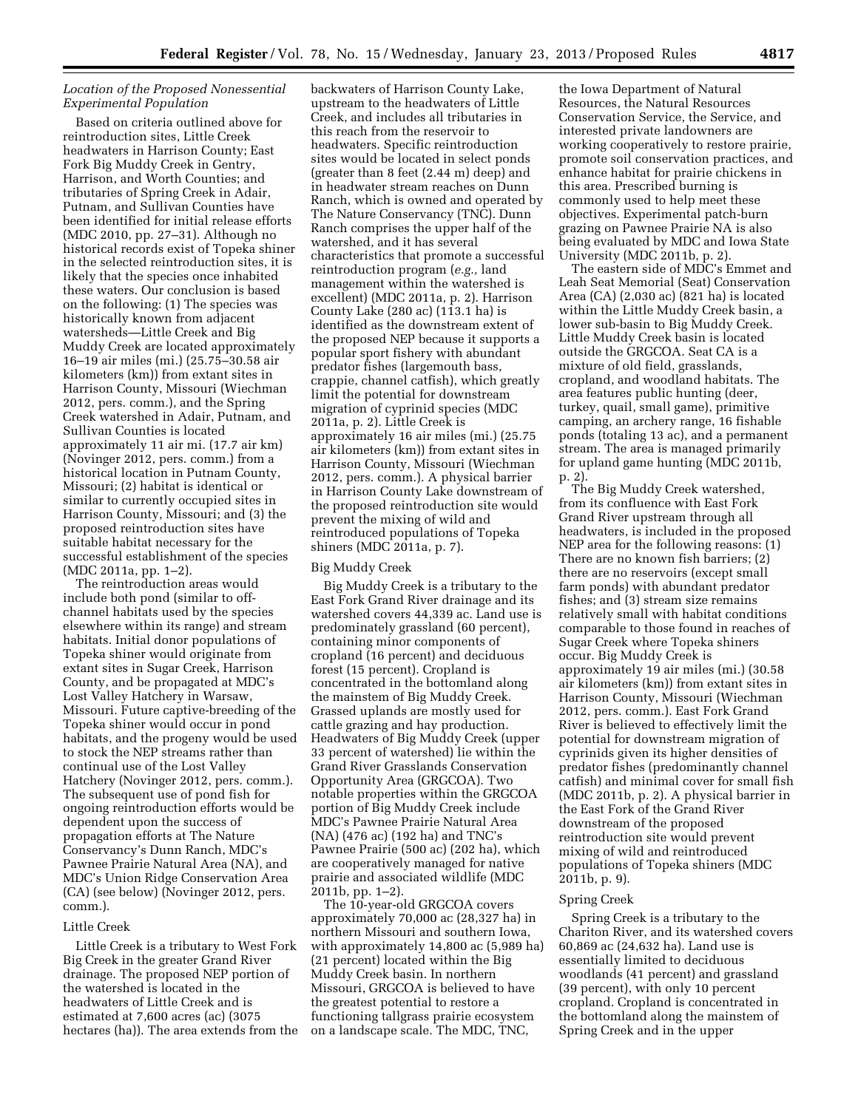# *Location of the Proposed Nonessential Experimental Population*

Based on criteria outlined above for reintroduction sites, Little Creek headwaters in Harrison County; East Fork Big Muddy Creek in Gentry, Harrison, and Worth Counties; and tributaries of Spring Creek in Adair, Putnam, and Sullivan Counties have been identified for initial release efforts (MDC 2010, pp. 27–31). Although no historical records exist of Topeka shiner in the selected reintroduction sites, it is likely that the species once inhabited these waters. Our conclusion is based on the following: (1) The species was historically known from adjacent watersheds—Little Creek and Big Muddy Creek are located approximately 16–19 air miles (mi.) (25.75–30.58 air kilometers (km)) from extant sites in Harrison County, Missouri (Wiechman 2012, pers. comm.), and the Spring Creek watershed in Adair, Putnam, and Sullivan Counties is located approximately 11 air mi. (17.7 air km) (Novinger 2012, pers. comm.) from a historical location in Putnam County, Missouri; (2) habitat is identical or similar to currently occupied sites in Harrison County, Missouri; and (3) the proposed reintroduction sites have suitable habitat necessary for the successful establishment of the species (MDC 2011a, pp. 1–2).

The reintroduction areas would include both pond (similar to offchannel habitats used by the species elsewhere within its range) and stream habitats. Initial donor populations of Topeka shiner would originate from extant sites in Sugar Creek, Harrison County, and be propagated at MDC's Lost Valley Hatchery in Warsaw, Missouri. Future captive-breeding of the Topeka shiner would occur in pond habitats, and the progeny would be used to stock the NEP streams rather than continual use of the Lost Valley Hatchery (Novinger 2012, pers. comm.). The subsequent use of pond fish for ongoing reintroduction efforts would be dependent upon the success of propagation efforts at The Nature Conservancy's Dunn Ranch, MDC's Pawnee Prairie Natural Area (NA), and MDC's Union Ridge Conservation Area (CA) (see below) (Novinger 2012, pers. comm.).

## Little Creek

Little Creek is a tributary to West Fork Big Creek in the greater Grand River drainage. The proposed NEP portion of the watershed is located in the headwaters of Little Creek and is estimated at 7,600 acres (ac) (3075 hectares (ha)). The area extends from the

backwaters of Harrison County Lake, upstream to the headwaters of Little Creek, and includes all tributaries in this reach from the reservoir to headwaters. Specific reintroduction sites would be located in select ponds (greater than 8 feet (2.44 m) deep) and in headwater stream reaches on Dunn Ranch, which is owned and operated by The Nature Conservancy (TNC). Dunn Ranch comprises the upper half of the watershed, and it has several characteristics that promote a successful reintroduction program (*e.g.,* land management within the watershed is excellent) (MDC 2011a, p. 2). Harrison County Lake (280 ac) (113.1 ha) is identified as the downstream extent of the proposed NEP because it supports a popular sport fishery with abundant predator fishes (largemouth bass, crappie, channel catfish), which greatly limit the potential for downstream migration of cyprinid species (MDC 2011a, p. 2). Little Creek is approximately 16 air miles (mi.) (25.75 air kilometers (km)) from extant sites in Harrison County, Missouri (Wiechman 2012, pers. comm.). A physical barrier in Harrison County Lake downstream of the proposed reintroduction site would prevent the mixing of wild and reintroduced populations of Topeka shiners (MDC 2011a, p. 7).

### Big Muddy Creek

Big Muddy Creek is a tributary to the East Fork Grand River drainage and its watershed covers 44,339 ac. Land use is predominately grassland (60 percent), containing minor components of cropland (16 percent) and deciduous forest (15 percent). Cropland is concentrated in the bottomland along the mainstem of Big Muddy Creek. Grassed uplands are mostly used for cattle grazing and hay production. Headwaters of Big Muddy Creek (upper 33 percent of watershed) lie within the Grand River Grasslands Conservation Opportunity Area (GRGCOA). Two notable properties within the GRGCOA portion of Big Muddy Creek include MDC's Pawnee Prairie Natural Area (NA) (476 ac) (192 ha) and TNC's Pawnee Prairie (500 ac) (202 ha), which are cooperatively managed for native prairie and associated wildlife (MDC 2011b, pp. 1–2).

The 10-year-old GRGCOA covers approximately 70,000 ac (28,327 ha) in northern Missouri and southern Iowa, with approximately 14,800 ac (5,989 ha) (21 percent) located within the Big Muddy Creek basin. In northern Missouri, GRGCOA is believed to have the greatest potential to restore a functioning tallgrass prairie ecosystem on a landscape scale. The MDC, TNC,

the Iowa Department of Natural Resources, the Natural Resources Conservation Service, the Service, and interested private landowners are working cooperatively to restore prairie, promote soil conservation practices, and enhance habitat for prairie chickens in this area. Prescribed burning is commonly used to help meet these objectives. Experimental patch-burn grazing on Pawnee Prairie NA is also being evaluated by MDC and Iowa State University (MDC 2011b, p. 2).

The eastern side of MDC's Emmet and Leah Seat Memorial (Seat) Conservation Area (CA) (2,030 ac) (821 ha) is located within the Little Muddy Creek basin, a lower sub-basin to Big Muddy Creek. Little Muddy Creek basin is located outside the GRGCOA. Seat CA is a mixture of old field, grasslands, cropland, and woodland habitats. The area features public hunting (deer, turkey, quail, small game), primitive camping, an archery range, 16 fishable ponds (totaling 13 ac), and a permanent stream. The area is managed primarily for upland game hunting (MDC 2011b, p. 2).

The Big Muddy Creek watershed, from its confluence with East Fork Grand River upstream through all headwaters, is included in the proposed NEP area for the following reasons: (1) There are no known fish barriers; (2) there are no reservoirs (except small farm ponds) with abundant predator fishes; and (3) stream size remains relatively small with habitat conditions comparable to those found in reaches of Sugar Creek where Topeka shiners occur. Big Muddy Creek is approximately 19 air miles (mi.) (30.58 air kilometers (km)) from extant sites in Harrison County, Missouri (Wiechman 2012, pers. comm.). East Fork Grand River is believed to effectively limit the potential for downstream migration of cyprinids given its higher densities of predator fishes (predominantly channel catfish) and minimal cover for small fish (MDC 2011b, p. 2). A physical barrier in the East Fork of the Grand River downstream of the proposed reintroduction site would prevent mixing of wild and reintroduced populations of Topeka shiners (MDC 2011b, p. 9).

### Spring Creek

Spring Creek is a tributary to the Chariton River, and its watershed covers 60,869 ac (24,632 ha). Land use is essentially limited to deciduous woodlands (41 percent) and grassland (39 percent), with only 10 percent cropland. Cropland is concentrated in the bottomland along the mainstem of Spring Creek and in the upper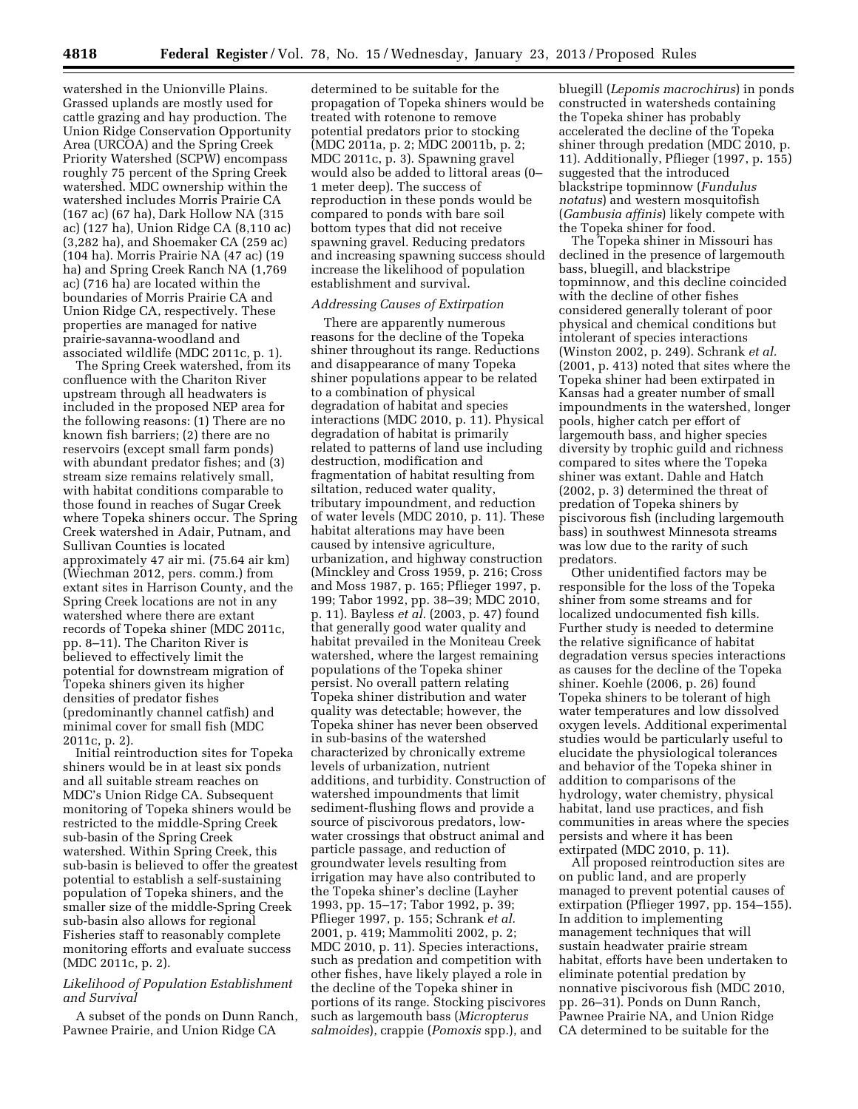watershed in the Unionville Plains. Grassed uplands are mostly used for cattle grazing and hay production. The Union Ridge Conservation Opportunity Area (URCOA) and the Spring Creek Priority Watershed (SCPW) encompass roughly 75 percent of the Spring Creek watershed. MDC ownership within the watershed includes Morris Prairie CA (167 ac) (67 ha), Dark Hollow NA (315 ac) (127 ha), Union Ridge CA (8,110 ac) (3,282 ha), and Shoemaker CA (259 ac) (104 ha). Morris Prairie NA (47 ac) (19 ha) and Spring Creek Ranch NA (1,769 ac) (716 ha) are located within the boundaries of Morris Prairie CA and Union Ridge CA, respectively. These properties are managed for native prairie-savanna-woodland and associated wildlife (MDC 2011c, p. 1).

The Spring Creek watershed, from its confluence with the Chariton River upstream through all headwaters is included in the proposed NEP area for the following reasons: (1) There are no known fish barriers; (2) there are no reservoirs (except small farm ponds) with abundant predator fishes; and (3) stream size remains relatively small, with habitat conditions comparable to those found in reaches of Sugar Creek where Topeka shiners occur. The Spring Creek watershed in Adair, Putnam, and Sullivan Counties is located approximately 47 air mi. (75.64 air km) (Wiechman 2012, pers. comm.) from extant sites in Harrison County, and the Spring Creek locations are not in any watershed where there are extant records of Topeka shiner (MDC 2011c, pp. 8–11). The Chariton River is believed to effectively limit the potential for downstream migration of Topeka shiners given its higher densities of predator fishes (predominantly channel catfish) and minimal cover for small fish (MDC 2011c, p. 2).

Initial reintroduction sites for Topeka shiners would be in at least six ponds and all suitable stream reaches on MDC's Union Ridge CA. Subsequent monitoring of Topeka shiners would be restricted to the middle-Spring Creek sub-basin of the Spring Creek watershed. Within Spring Creek, this sub-basin is believed to offer the greatest potential to establish a self-sustaining population of Topeka shiners, and the smaller size of the middle-Spring Creek sub-basin also allows for regional Fisheries staff to reasonably complete monitoring efforts and evaluate success (MDC 2011c, p. 2).

## *Likelihood of Population Establishment and Survival*

A subset of the ponds on Dunn Ranch, Pawnee Prairie, and Union Ridge CA

determined to be suitable for the propagation of Topeka shiners would be treated with rotenone to remove potential predators prior to stocking (MDC 2011a, p. 2; MDC 20011b, p. 2; MDC 2011c, p. 3). Spawning gravel would also be added to littoral areas (0– 1 meter deep). The success of reproduction in these ponds would be compared to ponds with bare soil bottom types that did not receive spawning gravel. Reducing predators and increasing spawning success should increase the likelihood of population establishment and survival.

# *Addressing Causes of Extirpation*

There are apparently numerous reasons for the decline of the Topeka shiner throughout its range. Reductions and disappearance of many Topeka shiner populations appear to be related to a combination of physical degradation of habitat and species interactions (MDC 2010, p. 11). Physical degradation of habitat is primarily related to patterns of land use including destruction, modification and fragmentation of habitat resulting from siltation, reduced water quality, tributary impoundment, and reduction of water levels (MDC 2010, p. 11). These habitat alterations may have been caused by intensive agriculture, urbanization, and highway construction (Minckley and Cross 1959, p. 216; Cross and Moss 1987, p. 165; Pflieger 1997, p. 199; Tabor 1992, pp. 38–39; MDC 2010, p. 11). Bayless *et al.* (2003, p. 47) found that generally good water quality and habitat prevailed in the Moniteau Creek watershed, where the largest remaining populations of the Topeka shiner persist. No overall pattern relating Topeka shiner distribution and water quality was detectable; however, the Topeka shiner has never been observed in sub-basins of the watershed characterized by chronically extreme levels of urbanization, nutrient additions, and turbidity. Construction of watershed impoundments that limit sediment-flushing flows and provide a source of piscivorous predators, lowwater crossings that obstruct animal and particle passage, and reduction of groundwater levels resulting from irrigation may have also contributed to the Topeka shiner's decline (Layher 1993, pp. 15–17; Tabor 1992, p. 39; Pflieger 1997, p. 155; Schrank *et al.*  2001, p. 419; Mammoliti 2002, p. 2; MDC 2010, p. 11). Species interactions, such as predation and competition with other fishes, have likely played a role in the decline of the Topeka shiner in portions of its range. Stocking piscivores such as largemouth bass (*Micropterus salmoides*), crappie (*Pomoxis* spp.), and

bluegill (*Lepomis macrochirus*) in ponds constructed in watersheds containing the Topeka shiner has probably accelerated the decline of the Topeka shiner through predation (MDC 2010, p. 11). Additionally, Pflieger (1997, p. 155) suggested that the introduced blackstripe topminnow (*Fundulus notatus*) and western mosquitofish (*Gambusia affinis*) likely compete with the Topeka shiner for food.

The Topeka shiner in Missouri has declined in the presence of largemouth bass, bluegill, and blackstripe topminnow, and this decline coincided with the decline of other fishes considered generally tolerant of poor physical and chemical conditions but intolerant of species interactions (Winston 2002, p. 249). Schrank *et al.*  (2001, p. 413) noted that sites where the Topeka shiner had been extirpated in Kansas had a greater number of small impoundments in the watershed, longer pools, higher catch per effort of largemouth bass, and higher species diversity by trophic guild and richness compared to sites where the Topeka shiner was extant. Dahle and Hatch (2002, p. 3) determined the threat of predation of Topeka shiners by piscivorous fish (including largemouth bass) in southwest Minnesota streams was low due to the rarity of such predators.

Other unidentified factors may be responsible for the loss of the Topeka shiner from some streams and for localized undocumented fish kills. Further study is needed to determine the relative significance of habitat degradation versus species interactions as causes for the decline of the Topeka shiner. Koehle (2006, p. 26) found Topeka shiners to be tolerant of high water temperatures and low dissolved oxygen levels. Additional experimental studies would be particularly useful to elucidate the physiological tolerances and behavior of the Topeka shiner in addition to comparisons of the hydrology, water chemistry, physical habitat, land use practices, and fish communities in areas where the species persists and where it has been extirpated (MDC 2010, p. 11).

All proposed reintroduction sites are on public land, and are properly managed to prevent potential causes of extirpation (Pflieger 1997, pp. 154–155). In addition to implementing management techniques that will sustain headwater prairie stream habitat, efforts have been undertaken to eliminate potential predation by nonnative piscivorous fish (MDC 2010, pp. 26–31). Ponds on Dunn Ranch, Pawnee Prairie NA, and Union Ridge CA determined to be suitable for the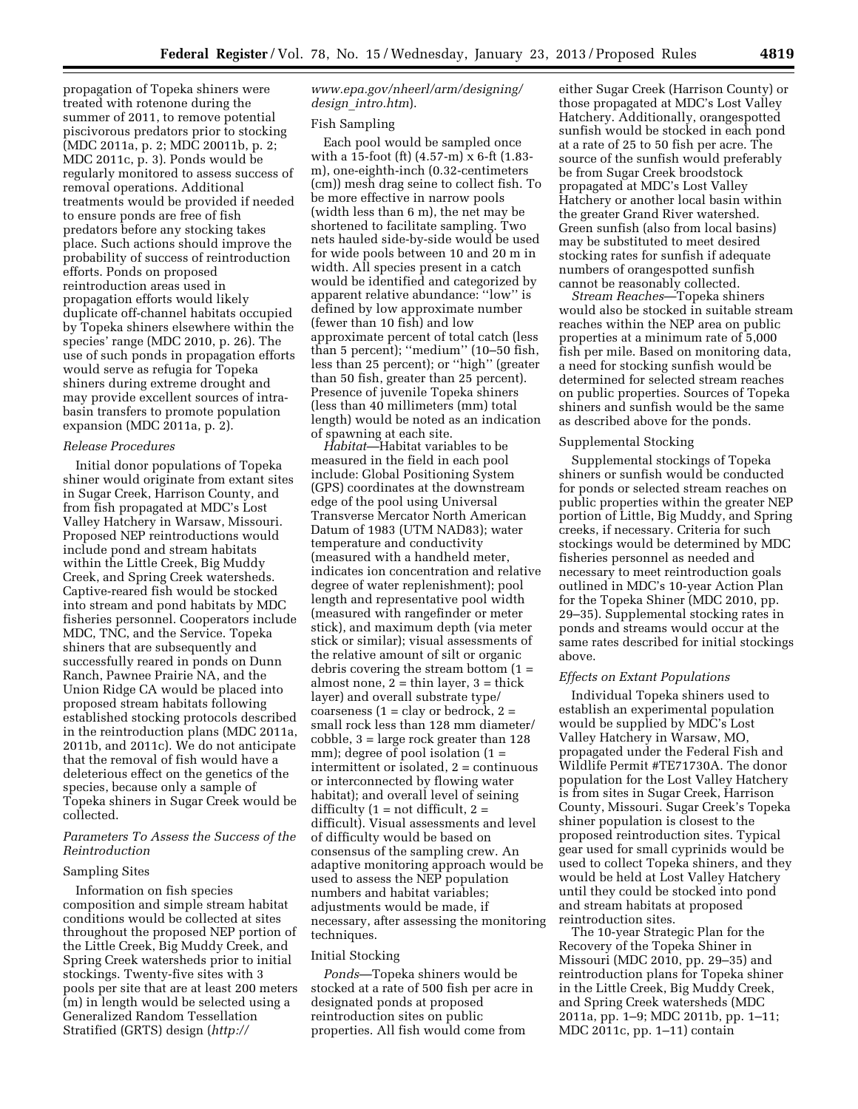propagation of Topeka shiners were treated with rotenone during the summer of 2011, to remove potential piscivorous predators prior to stocking (MDC 2011a, p. 2; MDC 20011b, p. 2; MDC 2011c, p. 3). Ponds would be regularly monitored to assess success of removal operations. Additional treatments would be provided if needed to ensure ponds are free of fish predators before any stocking takes place. Such actions should improve the probability of success of reintroduction efforts. Ponds on proposed reintroduction areas used in propagation efforts would likely duplicate off-channel habitats occupied by Topeka shiners elsewhere within the species' range (MDC 2010, p. 26). The use of such ponds in propagation efforts would serve as refugia for Topeka shiners during extreme drought and may provide excellent sources of intrabasin transfers to promote population expansion (MDC 2011a, p. 2).

## *Release Procedures*

Initial donor populations of Topeka shiner would originate from extant sites in Sugar Creek, Harrison County, and from fish propagated at MDC's Lost Valley Hatchery in Warsaw, Missouri. Proposed NEP reintroductions would include pond and stream habitats within the Little Creek, Big Muddy Creek, and Spring Creek watersheds. Captive-reared fish would be stocked into stream and pond habitats by MDC fisheries personnel. Cooperators include MDC, TNC, and the Service. Topeka shiners that are subsequently and successfully reared in ponds on Dunn Ranch, Pawnee Prairie NA, and the Union Ridge CA would be placed into proposed stream habitats following established stocking protocols described in the reintroduction plans (MDC 2011a, 2011b, and 2011c). We do not anticipate that the removal of fish would have a deleterious effect on the genetics of the species, because only a sample of Topeka shiners in Sugar Creek would be collected.

### *Parameters To Assess the Success of the Reintroduction*

## Sampling Sites

Information on fish species composition and simple stream habitat conditions would be collected at sites throughout the proposed NEP portion of the Little Creek, Big Muddy Creek, and Spring Creek watersheds prior to initial stockings. Twenty-five sites with 3 pools per site that are at least 200 meters (m) in length would be selected using a Generalized Random Tessellation Stratified (GRTS) design (*[http://](http://www.epa.gov/nheerl/arm/designing/design_intro.htm)* 

## *[www.epa.gov/nheerl/arm/designing/](http://www.epa.gov/nheerl/arm/designing/design_intro.htm) design*\_*[intro.htm](http://www.epa.gov/nheerl/arm/designing/design_intro.htm)*).

#### Fish Sampling

Each pool would be sampled once with a 15-foot (ft) (4.57-m) x 6-ft (1.83 m), one-eighth-inch (0.32-centimeters (cm)) mesh drag seine to collect fish. To be more effective in narrow pools (width less than 6 m), the net may be shortened to facilitate sampling. Two nets hauled side-by-side would be used for wide pools between 10 and 20 m in width. All species present in a catch would be identified and categorized by apparent relative abundance: ''low'' is defined by low approximate number (fewer than 10 fish) and low approximate percent of total catch (less than 5 percent); ''medium'' (10–50 fish, less than 25 percent); or ''high'' (greater than 50 fish, greater than 25 percent). Presence of juvenile Topeka shiners (less than 40 millimeters (mm) total length) would be noted as an indication of spawning at each site.

*Habitat*—Habitat variables to be measured in the field in each pool include: Global Positioning System (GPS) coordinates at the downstream edge of the pool using Universal Transverse Mercator North American Datum of 1983 (UTM NAD83); water temperature and conductivity (measured with a handheld meter, indicates ion concentration and relative degree of water replenishment); pool length and representative pool width (measured with rangefinder or meter stick), and maximum depth (via meter stick or similar); visual assessments of the relative amount of silt or organic debris covering the stream bottom  $(1 =$ almost none,  $2 = \text{thin layer}$ ,  $3 = \text{thick}$ layer) and overall substrate type/  $\alpha$  coarseness (1 = clay or bedrock, 2 = small rock less than 128 mm diameter/ cobble, 3 = large rock greater than 128 mm); degree of pool isolation  $(1 =$ intermittent or isolated, 2 = continuous or interconnected by flowing water habitat); and overall level of seining difficulty  $(1 = not difficult, 2 =$ difficult). Visual assessments and level of difficulty would be based on consensus of the sampling crew. An adaptive monitoring approach would be used to assess the NEP population numbers and habitat variables; adjustments would be made, if necessary, after assessing the monitoring techniques.

## Initial Stocking

*Ponds*—Topeka shiners would be stocked at a rate of 500 fish per acre in designated ponds at proposed reintroduction sites on public properties. All fish would come from

either Sugar Creek (Harrison County) or those propagated at MDC's Lost Valley Hatchery. Additionally, orangespotted sunfish would be stocked in each pond at a rate of 25 to 50 fish per acre. The source of the sunfish would preferably be from Sugar Creek broodstock propagated at MDC's Lost Valley Hatchery or another local basin within the greater Grand River watershed. Green sunfish (also from local basins) may be substituted to meet desired stocking rates for sunfish if adequate numbers of orangespotted sunfish cannot be reasonably collected.

*Stream Reaches*—Topeka shiners would also be stocked in suitable stream reaches within the NEP area on public properties at a minimum rate of 5,000 fish per mile. Based on monitoring data, a need for stocking sunfish would be determined for selected stream reaches on public properties. Sources of Topeka shiners and sunfish would be the same as described above for the ponds.

#### Supplemental Stocking

Supplemental stockings of Topeka shiners or sunfish would be conducted for ponds or selected stream reaches on public properties within the greater NEP portion of Little, Big Muddy, and Spring creeks, if necessary. Criteria for such stockings would be determined by MDC fisheries personnel as needed and necessary to meet reintroduction goals outlined in MDC's 10-year Action Plan for the Topeka Shiner (MDC 2010, pp. 29–35). Supplemental stocking rates in ponds and streams would occur at the same rates described for initial stockings above.

## *Effects on Extant Populations*

Individual Topeka shiners used to establish an experimental population would be supplied by MDC's Lost Valley Hatchery in Warsaw, MO, propagated under the Federal Fish and Wildlife Permit #TE71730A. The donor population for the Lost Valley Hatchery is from sites in Sugar Creek, Harrison County, Missouri. Sugar Creek's Topeka shiner population is closest to the proposed reintroduction sites. Typical gear used for small cyprinids would be used to collect Topeka shiners, and they would be held at Lost Valley Hatchery until they could be stocked into pond and stream habitats at proposed reintroduction sites.

The 10-year Strategic Plan for the Recovery of the Topeka Shiner in Missouri (MDC 2010, pp. 29–35) and reintroduction plans for Topeka shiner in the Little Creek, Big Muddy Creek, and Spring Creek watersheds (MDC 2011a, pp. 1–9; MDC 2011b, pp. 1–11; MDC 2011c, pp. 1–11) contain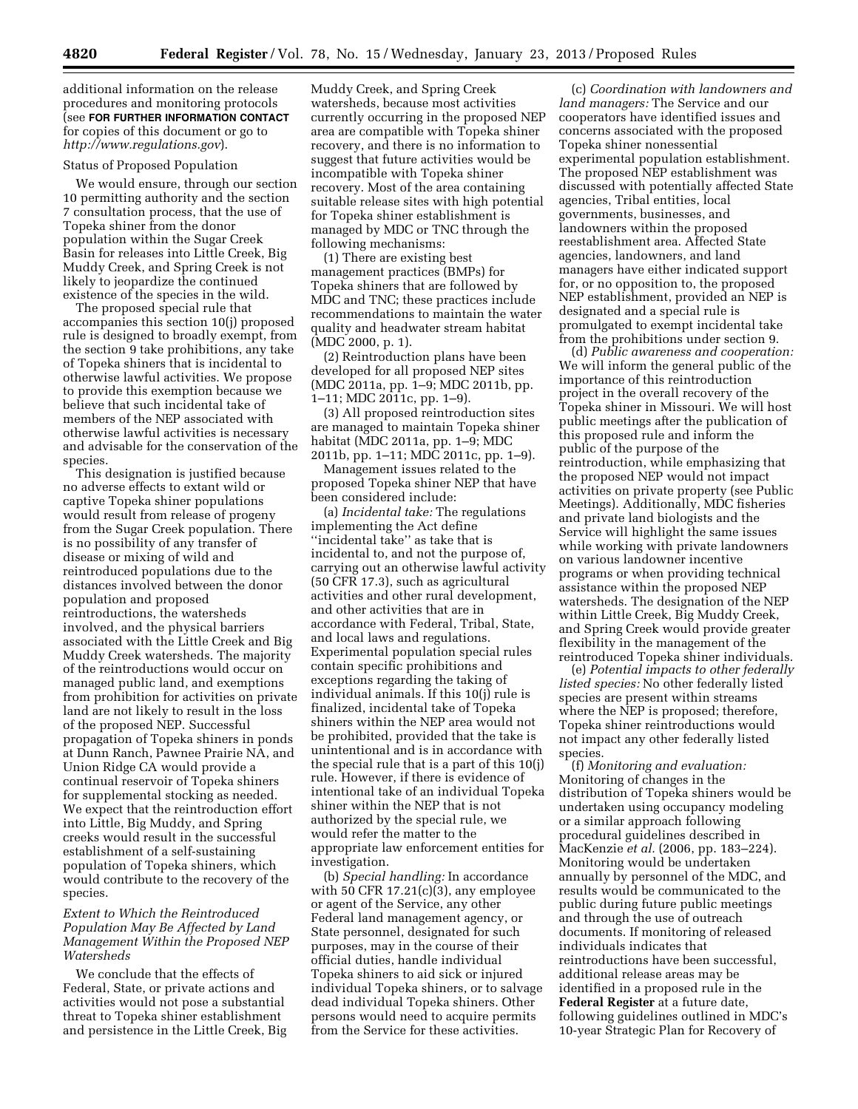additional information on the release procedures and monitoring protocols (see **FOR FURTHER INFORMATION CONTACT** for copies of this document or go to *<http://www.regulations.gov>*).

## Status of Proposed Population

We would ensure, through our section 10 permitting authority and the section 7 consultation process, that the use of Topeka shiner from the donor population within the Sugar Creek Basin for releases into Little Creek, Big Muddy Creek, and Spring Creek is not likely to jeopardize the continued existence of the species in the wild.

The proposed special rule that accompanies this section 10(j) proposed rule is designed to broadly exempt, from the section 9 take prohibitions, any take of Topeka shiners that is incidental to otherwise lawful activities. We propose to provide this exemption because we believe that such incidental take of members of the NEP associated with otherwise lawful activities is necessary and advisable for the conservation of the species.

This designation is justified because no adverse effects to extant wild or captive Topeka shiner populations would result from release of progeny from the Sugar Creek population. There is no possibility of any transfer of disease or mixing of wild and reintroduced populations due to the distances involved between the donor population and proposed reintroductions, the watersheds involved, and the physical barriers associated with the Little Creek and Big Muddy Creek watersheds. The majority of the reintroductions would occur on managed public land, and exemptions from prohibition for activities on private land are not likely to result in the loss of the proposed NEP. Successful propagation of Topeka shiners in ponds at Dunn Ranch, Pawnee Prairie NA, and Union Ridge CA would provide a continual reservoir of Topeka shiners for supplemental stocking as needed. We expect that the reintroduction effort into Little, Big Muddy, and Spring creeks would result in the successful establishment of a self-sustaining population of Topeka shiners, which would contribute to the recovery of the species.

# *Extent to Which the Reintroduced Population May Be Affected by Land Management Within the Proposed NEP Watersheds*

We conclude that the effects of Federal, State, or private actions and activities would not pose a substantial threat to Topeka shiner establishment and persistence in the Little Creek, Big

Muddy Creek, and Spring Creek watersheds, because most activities currently occurring in the proposed NEP area are compatible with Topeka shiner recovery, and there is no information to suggest that future activities would be incompatible with Topeka shiner recovery. Most of the area containing suitable release sites with high potential for Topeka shiner establishment is managed by MDC or TNC through the following mechanisms:

(1) There are existing best management practices (BMPs) for Topeka shiners that are followed by MDC and TNC; these practices include recommendations to maintain the water quality and headwater stream habitat (MDC 2000, p. 1).

(2) Reintroduction plans have been developed for all proposed NEP sites (MDC 2011a, pp. 1–9; MDC 2011b, pp. 1–11; MDC 2011c, pp. 1–9).

(3) All proposed reintroduction sites are managed to maintain Topeka shiner habitat (MDC 2011a, pp. 1–9; MDC 2011b, pp. 1–11; MDC 2011c, pp. 1–9).

Management issues related to the proposed Topeka shiner NEP that have been considered include:

(a) *Incidental take:* The regulations implementing the Act define ''incidental take'' as take that is incidental to, and not the purpose of, carrying out an otherwise lawful activity (50 CFR 17.3), such as agricultural activities and other rural development, and other activities that are in accordance with Federal, Tribal, State, and local laws and regulations. Experimental population special rules contain specific prohibitions and exceptions regarding the taking of individual animals. If this 10(j) rule is finalized, incidental take of Topeka shiners within the NEP area would not be prohibited, provided that the take is unintentional and is in accordance with the special rule that is a part of this 10(j) rule. However, if there is evidence of intentional take of an individual Topeka shiner within the NEP that is not authorized by the special rule, we would refer the matter to the appropriate law enforcement entities for investigation.

(b) *Special handling:* In accordance with 50 CFR  $17.21(c)(3)$ , any employee or agent of the Service, any other Federal land management agency, or State personnel, designated for such purposes, may in the course of their official duties, handle individual Topeka shiners to aid sick or injured individual Topeka shiners, or to salvage dead individual Topeka shiners. Other persons would need to acquire permits from the Service for these activities.

(c) *Coordination with landowners and land managers:* The Service and our cooperators have identified issues and concerns associated with the proposed Topeka shiner nonessential experimental population establishment. The proposed NEP establishment was discussed with potentially affected State agencies, Tribal entities, local governments, businesses, and landowners within the proposed reestablishment area. Affected State agencies, landowners, and land managers have either indicated support for, or no opposition to, the proposed NEP establishment, provided an NEP is designated and a special rule is promulgated to exempt incidental take from the prohibitions under section 9.

(d) *Public awareness and cooperation:*  We will inform the general public of the importance of this reintroduction project in the overall recovery of the Topeka shiner in Missouri. We will host public meetings after the publication of this proposed rule and inform the public of the purpose of the reintroduction, while emphasizing that the proposed NEP would not impact activities on private property (see Public Meetings). Additionally, MDC fisheries and private land biologists and the Service will highlight the same issues while working with private landowners on various landowner incentive programs or when providing technical assistance within the proposed NEP watersheds. The designation of the NEP within Little Creek, Big Muddy Creek, and Spring Creek would provide greater flexibility in the management of the reintroduced Topeka shiner individuals.

(e) *Potential impacts to other federally listed species:* No other federally listed species are present within streams where the NEP is proposed; therefore, Topeka shiner reintroductions would not impact any other federally listed species.

(f) *Monitoring and evaluation:*  Monitoring of changes in the distribution of Topeka shiners would be undertaken using occupancy modeling or a similar approach following procedural guidelines described in MacKenzie *et al.* (2006, pp. 183–224). Monitoring would be undertaken annually by personnel of the MDC, and results would be communicated to the public during future public meetings and through the use of outreach documents. If monitoring of released individuals indicates that reintroductions have been successful, additional release areas may be identified in a proposed rule in the **Federal Register** at a future date, following guidelines outlined in MDC's 10-year Strategic Plan for Recovery of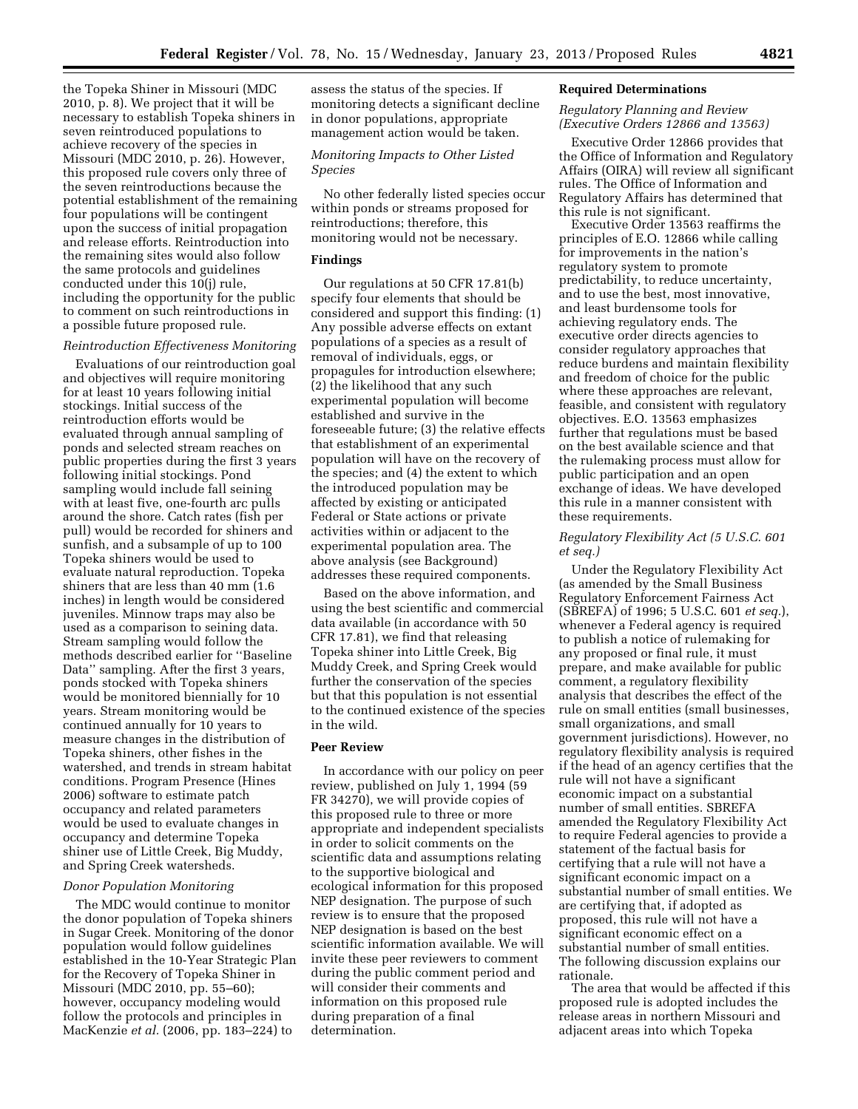the Topeka Shiner in Missouri (MDC 2010, p. 8). We project that it will be necessary to establish Topeka shiners in seven reintroduced populations to achieve recovery of the species in Missouri (MDC 2010, p. 26). However, this proposed rule covers only three of the seven reintroductions because the potential establishment of the remaining four populations will be contingent upon the success of initial propagation and release efforts. Reintroduction into the remaining sites would also follow the same protocols and guidelines conducted under this 10(j) rule, including the opportunity for the public to comment on such reintroductions in a possible future proposed rule.

# *Reintroduction Effectiveness Monitoring*

Evaluations of our reintroduction goal and objectives will require monitoring for at least 10 years following initial stockings. Initial success of the reintroduction efforts would be evaluated through annual sampling of ponds and selected stream reaches on public properties during the first 3 years following initial stockings. Pond sampling would include fall seining with at least five, one-fourth arc pulls around the shore. Catch rates (fish per pull) would be recorded for shiners and sunfish, and a subsample of up to 100 Topeka shiners would be used to evaluate natural reproduction. Topeka shiners that are less than 40 mm (1.6 inches) in length would be considered juveniles. Minnow traps may also be used as a comparison to seining data. Stream sampling would follow the methods described earlier for ''Baseline Data'' sampling. After the first 3 years, ponds stocked with Topeka shiners would be monitored biennially for 10 years. Stream monitoring would be continued annually for 10 years to measure changes in the distribution of Topeka shiners, other fishes in the watershed, and trends in stream habitat conditions. Program Presence (Hines 2006) software to estimate patch occupancy and related parameters would be used to evaluate changes in occupancy and determine Topeka shiner use of Little Creek, Big Muddy, and Spring Creek watersheds.

#### *Donor Population Monitoring*

The MDC would continue to monitor the donor population of Topeka shiners in Sugar Creek. Monitoring of the donor population would follow guidelines established in the 10-Year Strategic Plan for the Recovery of Topeka Shiner in Missouri (MDC 2010, pp. 55–60); however, occupancy modeling would follow the protocols and principles in MacKenzie *et al.* (2006, pp. 183–224) to

assess the status of the species. If monitoring detects a significant decline in donor populations, appropriate management action would be taken.

## *Monitoring Impacts to Other Listed Species*

No other federally listed species occur within ponds or streams proposed for reintroductions; therefore, this monitoring would not be necessary.

# **Findings**

Our regulations at 50 CFR 17.81(b) specify four elements that should be considered and support this finding: (1) Any possible adverse effects on extant populations of a species as a result of removal of individuals, eggs, or propagules for introduction elsewhere; (2) the likelihood that any such experimental population will become established and survive in the foreseeable future; (3) the relative effects that establishment of an experimental population will have on the recovery of the species; and (4) the extent to which the introduced population may be affected by existing or anticipated Federal or State actions or private activities within or adjacent to the experimental population area. The above analysis (see Background) addresses these required components.

Based on the above information, and using the best scientific and commercial data available (in accordance with 50 CFR 17.81), we find that releasing Topeka shiner into Little Creek, Big Muddy Creek, and Spring Creek would further the conservation of the species but that this population is not essential to the continued existence of the species in the wild.

# **Peer Review**

In accordance with our policy on peer review, published on July 1, 1994 (59 FR 34270), we will provide copies of this proposed rule to three or more appropriate and independent specialists in order to solicit comments on the scientific data and assumptions relating to the supportive biological and ecological information for this proposed NEP designation. The purpose of such review is to ensure that the proposed NEP designation is based on the best scientific information available. We will invite these peer reviewers to comment during the public comment period and will consider their comments and information on this proposed rule during preparation of a final determination.

#### **Required Determinations**

### *Regulatory Planning and Review (Executive Orders 12866 and 13563)*

Executive Order 12866 provides that the Office of Information and Regulatory Affairs (OIRA) will review all significant rules. The Office of Information and Regulatory Affairs has determined that this rule is not significant.

Executive Order 13563 reaffirms the principles of E.O. 12866 while calling for improvements in the nation's regulatory system to promote predictability, to reduce uncertainty, and to use the best, most innovative, and least burdensome tools for achieving regulatory ends. The executive order directs agencies to consider regulatory approaches that reduce burdens and maintain flexibility and freedom of choice for the public where these approaches are relevant, feasible, and consistent with regulatory objectives. E.O. 13563 emphasizes further that regulations must be based on the best available science and that the rulemaking process must allow for public participation and an open exchange of ideas. We have developed this rule in a manner consistent with these requirements.

## *Regulatory Flexibility Act (5 U.S.C. 601 et seq.)*

Under the Regulatory Flexibility Act (as amended by the Small Business Regulatory Enforcement Fairness Act (SBREFA) of 1996; 5 U.S.C. 601 *et seq.*), whenever a Federal agency is required to publish a notice of rulemaking for any proposed or final rule, it must prepare, and make available for public comment, a regulatory flexibility analysis that describes the effect of the rule on small entities (small businesses, small organizations, and small government jurisdictions). However, no regulatory flexibility analysis is required if the head of an agency certifies that the rule will not have a significant economic impact on a substantial number of small entities. SBREFA amended the Regulatory Flexibility Act to require Federal agencies to provide a statement of the factual basis for certifying that a rule will not have a significant economic impact on a substantial number of small entities. We are certifying that, if adopted as proposed, this rule will not have a significant economic effect on a substantial number of small entities. The following discussion explains our rationale.

The area that would be affected if this proposed rule is adopted includes the release areas in northern Missouri and adjacent areas into which Topeka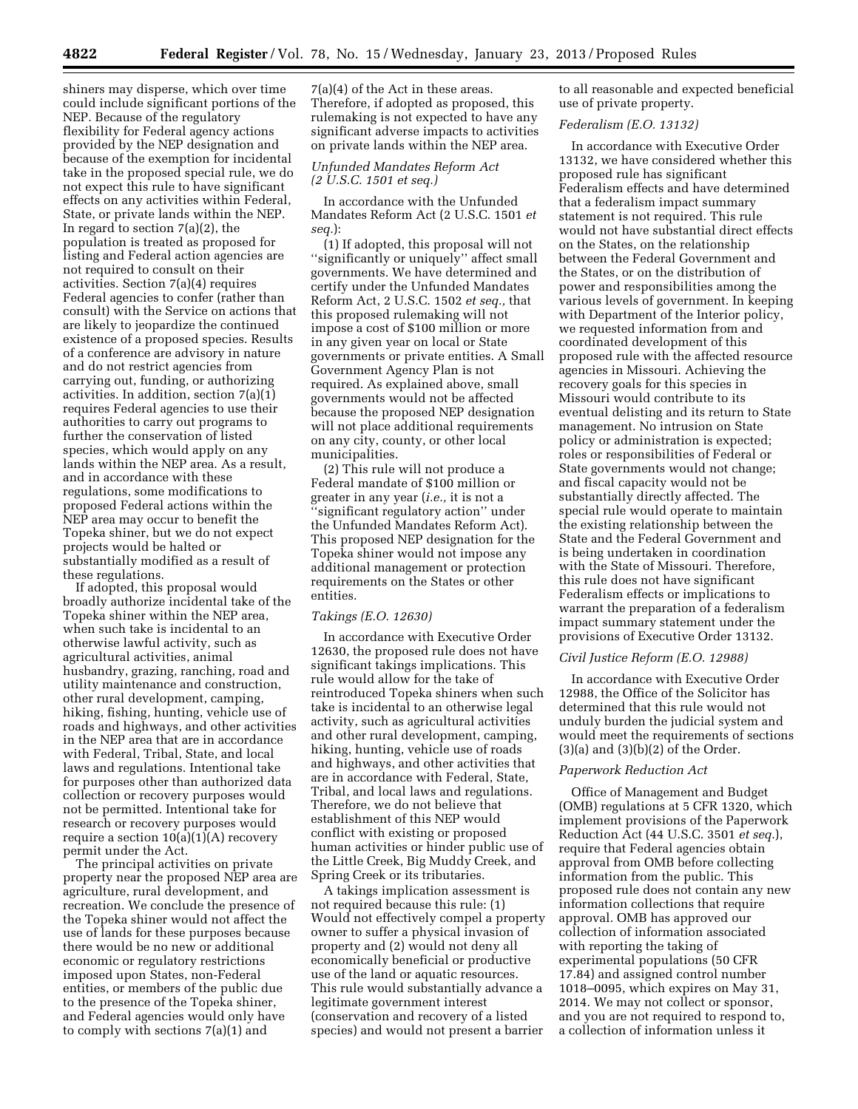shiners may disperse, which over time could include significant portions of the NEP. Because of the regulatory flexibility for Federal agency actions provided by the NEP designation and because of the exemption for incidental take in the proposed special rule, we do not expect this rule to have significant effects on any activities within Federal, State, or private lands within the NEP. In regard to section  $7(a)(2)$ , the population is treated as proposed for listing and Federal action agencies are not required to consult on their activities. Section 7(a)(4) requires Federal agencies to confer (rather than consult) with the Service on actions that are likely to jeopardize the continued existence of a proposed species. Results of a conference are advisory in nature and do not restrict agencies from carrying out, funding, or authorizing activities. In addition, section 7(a)(1) requires Federal agencies to use their authorities to carry out programs to further the conservation of listed species, which would apply on any lands within the NEP area. As a result, and in accordance with these regulations, some modifications to proposed Federal actions within the NEP area may occur to benefit the Topeka shiner, but we do not expect projects would be halted or substantially modified as a result of these regulations.

If adopted, this proposal would broadly authorize incidental take of the Topeka shiner within the NEP area, when such take is incidental to an otherwise lawful activity, such as agricultural activities, animal husbandry, grazing, ranching, road and utility maintenance and construction, other rural development, camping, hiking, fishing, hunting, vehicle use of roads and highways, and other activities in the NEP area that are in accordance with Federal, Tribal, State, and local laws and regulations. Intentional take for purposes other than authorized data collection or recovery purposes would not be permitted. Intentional take for research or recovery purposes would require a section 10(a)(1)(A) recovery permit under the Act.

The principal activities on private property near the proposed NEP area are agriculture, rural development, and recreation. We conclude the presence of the Topeka shiner would not affect the use of lands for these purposes because there would be no new or additional economic or regulatory restrictions imposed upon States, non-Federal entities, or members of the public due to the presence of the Topeka shiner, and Federal agencies would only have to comply with sections 7(a)(1) and

7(a)(4) of the Act in these areas. Therefore, if adopted as proposed, this rulemaking is not expected to have any significant adverse impacts to activities on private lands within the NEP area.

### *Unfunded Mandates Reform Act (2 U.S.C. 1501 et seq.)*

In accordance with the Unfunded Mandates Reform Act (2 U.S.C. 1501 *et seq.*):

(1) If adopted, this proposal will not ''significantly or uniquely'' affect small governments. We have determined and certify under the Unfunded Mandates Reform Act, 2 U.S.C. 1502 *et seq.,* that this proposed rulemaking will not impose a cost of \$100 million or more in any given year on local or State governments or private entities. A Small Government Agency Plan is not required. As explained above, small governments would not be affected because the proposed NEP designation will not place additional requirements on any city, county, or other local municipalities.

(2) This rule will not produce a Federal mandate of \$100 million or greater in any year (*i.e.,* it is not a ''significant regulatory action'' under the Unfunded Mandates Reform Act). This proposed NEP designation for the Topeka shiner would not impose any additional management or protection requirements on the States or other entities.

## *Takings (E.O. 12630)*

In accordance with Executive Order 12630, the proposed rule does not have significant takings implications. This rule would allow for the take of reintroduced Topeka shiners when such take is incidental to an otherwise legal activity, such as agricultural activities and other rural development, camping, hiking, hunting, vehicle use of roads and highways, and other activities that are in accordance with Federal, State, Tribal, and local laws and regulations. Therefore, we do not believe that establishment of this NEP would conflict with existing or proposed human activities or hinder public use of the Little Creek, Big Muddy Creek, and Spring Creek or its tributaries.

A takings implication assessment is not required because this rule: (1) Would not effectively compel a property owner to suffer a physical invasion of property and (2) would not deny all economically beneficial or productive use of the land or aquatic resources. This rule would substantially advance a legitimate government interest (conservation and recovery of a listed species) and would not present a barrier

to all reasonable and expected beneficial use of private property.

# *Federalism (E.O. 13132)*

In accordance with Executive Order 13132, we have considered whether this proposed rule has significant Federalism effects and have determined that a federalism impact summary statement is not required. This rule would not have substantial direct effects on the States, on the relationship between the Federal Government and the States, or on the distribution of power and responsibilities among the various levels of government. In keeping with Department of the Interior policy, we requested information from and coordinated development of this proposed rule with the affected resource agencies in Missouri. Achieving the recovery goals for this species in Missouri would contribute to its eventual delisting and its return to State management. No intrusion on State policy or administration is expected; roles or responsibilities of Federal or State governments would not change; and fiscal capacity would not be substantially directly affected. The special rule would operate to maintain the existing relationship between the State and the Federal Government and is being undertaken in coordination with the State of Missouri. Therefore, this rule does not have significant Federalism effects or implications to warrant the preparation of a federalism impact summary statement under the provisions of Executive Order 13132.

## *Civil Justice Reform (E.O. 12988)*

In accordance with Executive Order 12988, the Office of the Solicitor has determined that this rule would not unduly burden the judicial system and would meet the requirements of sections  $(3)(a)$  and  $(3)(b)(2)$  of the Order.

#### *Paperwork Reduction Act*

Office of Management and Budget (OMB) regulations at 5 CFR 1320, which implement provisions of the Paperwork Reduction Act (44 U.S.C. 3501 *et seq.*), require that Federal agencies obtain approval from OMB before collecting information from the public. This proposed rule does not contain any new information collections that require approval. OMB has approved our collection of information associated with reporting the taking of experimental populations (50 CFR 17.84) and assigned control number 1018–0095, which expires on May 31, 2014. We may not collect or sponsor, and you are not required to respond to, a collection of information unless it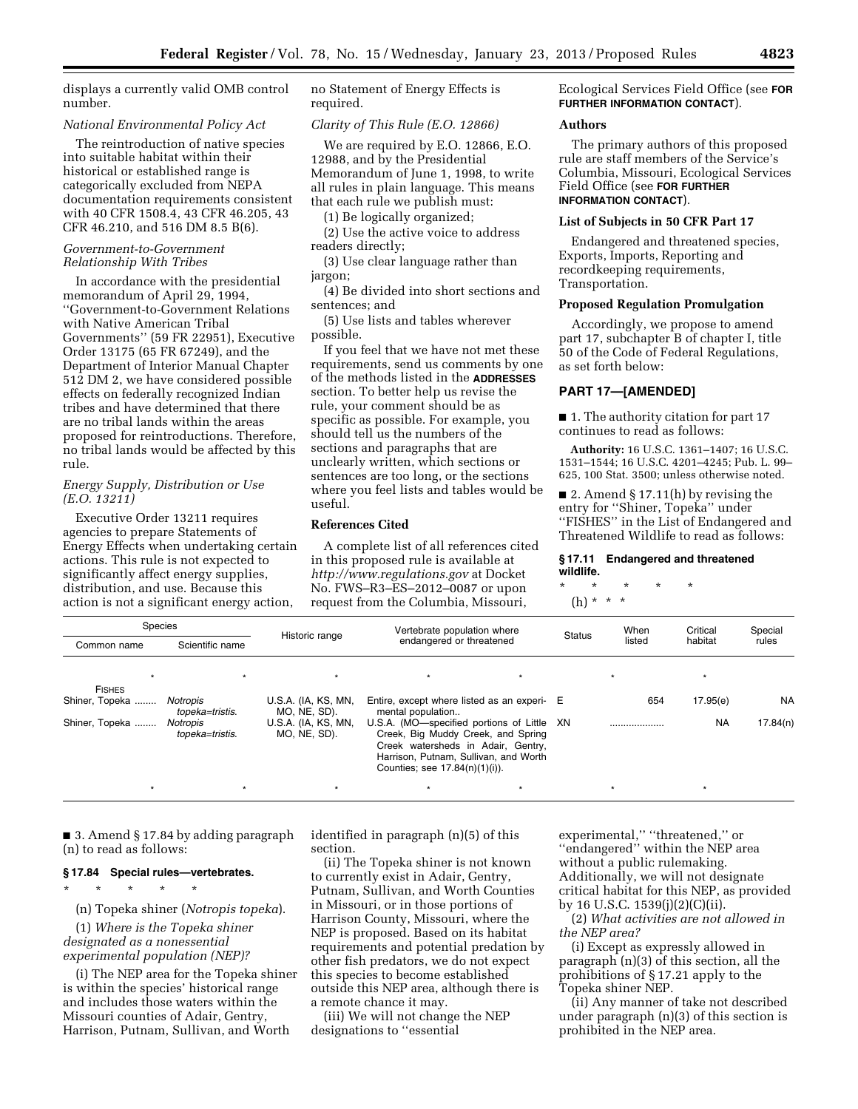displays a currently valid OMB control number.

#### *National Environmental Policy Act*

The reintroduction of native species into suitable habitat within their historical or established range is categorically excluded from NEPA documentation requirements consistent with 40 CFR 1508.4, 43 CFR 46.205, 43 CFR 46.210, and 516 DM 8.5 B(6).

### *Government-to-Government Relationship With Tribes*

In accordance with the presidential memorandum of April 29, 1994, ''Government-to-Government Relations with Native American Tribal Governments'' (59 FR 22951), Executive Order 13175 (65 FR 67249), and the Department of Interior Manual Chapter 512 DM 2, we have considered possible effects on federally recognized Indian tribes and have determined that there are no tribal lands within the areas proposed for reintroductions. Therefore, no tribal lands would be affected by this rule.

### *Energy Supply, Distribution or Use (E.O. 13211)*

Executive Order 13211 requires agencies to prepare Statements of Energy Effects when undertaking certain actions. This rule is not expected to significantly affect energy supplies, distribution, and use. Because this action is not a significant energy action,

no Statement of Energy Effects is required.

### *Clarity of This Rule (E.O. 12866)*

We are required by E.O. 12866, E.O. 12988, and by the Presidential Memorandum of June 1, 1998, to write all rules in plain language. This means that each rule we publish must:

(1) Be logically organized;

(2) Use the active voice to address readers directly;

(3) Use clear language rather than jargon;

(4) Be divided into short sections and sentences; and

(5) Use lists and tables wherever possible.

If you feel that we have not met these requirements, send us comments by one of the methods listed in the **ADDRESSES** section. To better help us revise the rule, your comment should be as specific as possible. For example, you should tell us the numbers of the sections and paragraphs that are unclearly written, which sections or sentences are too long, or the sections where you feel lists and tables would be useful.

#### **References Cited**

A complete list of all references cited in this proposed rule is available at *<http://www.regulations.gov>* at Docket No. FWS–R3–ES–2012–0087 or upon request from the Columbia, Missouri,

Ecological Services Field Office (see **FOR FURTHER INFORMATION CONTACT**).

### **Authors**

The primary authors of this proposed rule are staff members of the Service's Columbia, Missouri, Ecological Services Field Office (see **FOR FURTHER INFORMATION CONTACT**).

### **List of Subjects in 50 CFR Part 17**

Endangered and threatened species, Exports, Imports, Reporting and recordkeeping requirements, Transportation.

# **Proposed Regulation Promulgation**

Accordingly, we propose to amend part 17, subchapter B of chapter I, title 50 of the Code of Federal Regulations, as set forth below:

# **PART 17—[AMENDED]**

■ 1. The authority citation for part 17 continues to read as follows:

**Authority:** 16 U.S.C. 1361–1407; 16 U.S.C. 1531–1544; 16 U.S.C. 4201–4245; Pub. L. 99– 625, 100 Stat. 3500; unless otherwise noted.

■ 2. Amend § 17.11(h) by revising the entry for ''Shiner, Topeka'' under ''FISHES'' in the List of Endangered and Threatened Wildlife to read as follows:

### **§ 17.11 Endangered and threatened wildlife.**

\* \* \* \* \* (h) \* \* \*

| Species        |                             |                                     | Vertebrate population where                                                                                                                                                                       |  |               | When   | Critical  | Special   |
|----------------|-----------------------------|-------------------------------------|---------------------------------------------------------------------------------------------------------------------------------------------------------------------------------------------------|--|---------------|--------|-----------|-----------|
| Common name    | Scientific name             | Historic range                      | endangered or threatened                                                                                                                                                                          |  | <b>Status</b> | listed | habitat   | rules     |
|                |                             |                                     |                                                                                                                                                                                                   |  |               |        |           |           |
| <b>FISHES</b>  |                             |                                     |                                                                                                                                                                                                   |  |               |        |           |           |
| Shiner, Topeka | Notropis<br>topeka=tristis. | U.S.A. (IA, KS, MN,<br>MO, NE, SD). | Entire, except where listed as an experi- E<br>mental population                                                                                                                                  |  |               | 654    | 17.95(e)  | <b>NA</b> |
| Shiner, Topeka | Notropis<br>topeka=tristis. | U.S.A. (IA, KS, MN,<br>MO, NE, SD). | U.S.A. (MO-specified portions of Little XN<br>Creek, Big Muddy Creek, and Spring<br>Creek watersheds in Adair, Gentry,<br>Harrison, Putnam, Sullivan, and Worth<br>Counties; see 17.84(n)(1)(i)). |  |               |        | <b>NA</b> | 17.84(n)  |
|                |                             |                                     |                                                                                                                                                                                                   |  |               |        | $\star$   |           |

■ 3. Amend § 17.84 by adding paragraph (n) to read as follows:

## **§ 17.84 Special rules—vertebrates.**

\* \* \* \* \*

(n) Topeka shiner (*Notropis topeka*).

(1) *Where is the Topeka shiner designated as a nonessential experimental population (NEP)?* 

(i) The NEP area for the Topeka shiner is within the species' historical range and includes those waters within the Missouri counties of Adair, Gentry, Harrison, Putnam, Sullivan, and Worth

identified in paragraph (n)(5) of this section.

(ii) The Topeka shiner is not known to currently exist in Adair, Gentry, Putnam, Sullivan, and Worth Counties in Missouri, or in those portions of Harrison County, Missouri, where the NEP is proposed. Based on its habitat requirements and potential predation by other fish predators, we do not expect this species to become established outside this NEP area, although there is a remote chance it may.

(iii) We will not change the NEP designations to ''essential

experimental," "threatened," or ''endangered'' within the NEP area without a public rulemaking. Additionally, we will not designate critical habitat for this NEP, as provided by 16 U.S.C. 1539(j)(2)(C)(ii).

(2) *What activities are not allowed in the NEP area?* 

(i) Except as expressly allowed in paragraph (n)(3) of this section, all the prohibitions of § 17.21 apply to the Topeka shiner NEP.

(ii) Any manner of take not described under paragraph (n)(3) of this section is prohibited in the NEP area.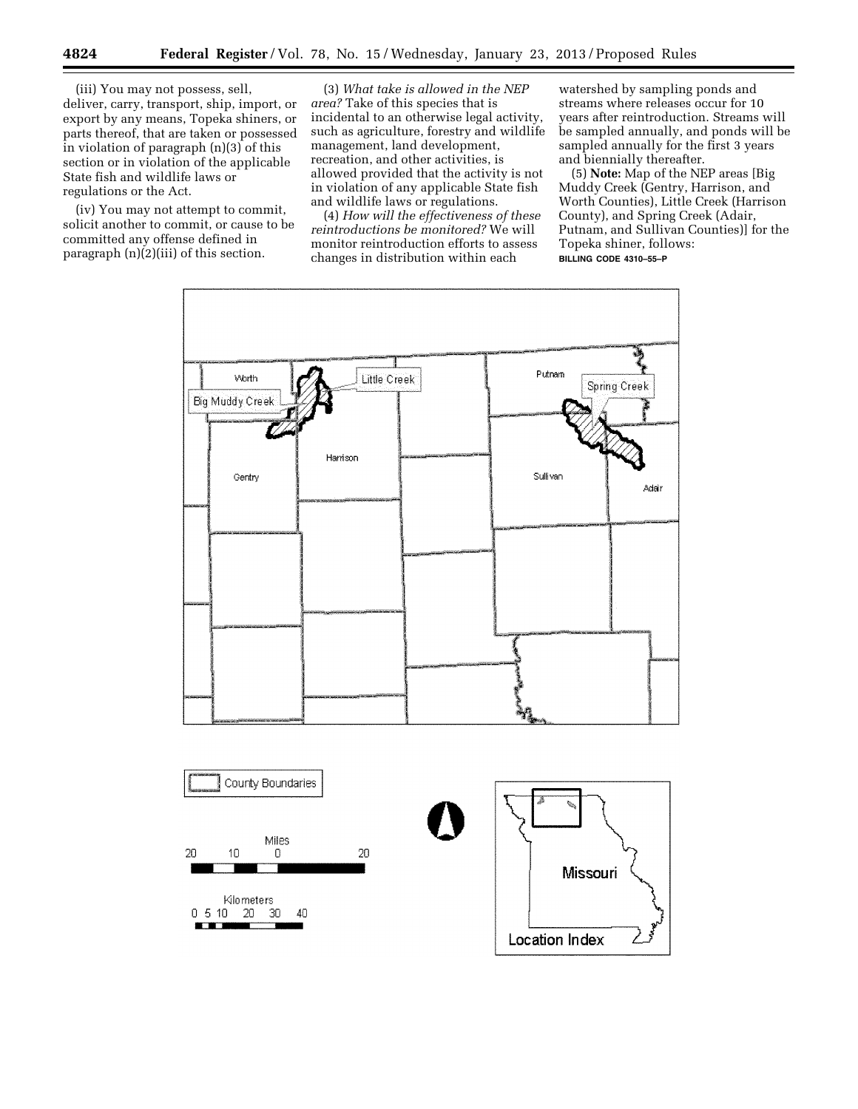(iii) You may not possess, sell, deliver, carry, transport, ship, import, or export by any means, Topeka shiners, or parts thereof, that are taken or possessed in violation of paragraph (n)(3) of this section or in violation of the applicable State fish and wildlife laws or regulations or the Act.

(iv) You may not attempt to commit, solicit another to commit, or cause to be committed any offense defined in paragraph (n)(2)(iii) of this section.

(3) *What take is allowed in the NEP area?* Take of this species that is incidental to an otherwise legal activity, such as agriculture, forestry and wildlife management, land development, recreation, and other activities, is allowed provided that the activity is not in violation of any applicable State fish and wildlife laws or regulations.

(4) *How will the effectiveness of these reintroductions be monitored?* We will monitor reintroduction efforts to assess changes in distribution within each

watershed by sampling ponds and streams where releases occur for 10 years after reintroduction. Streams will be sampled annually, and ponds will be sampled annually for the first 3 years and biennially thereafter.

(5) **Note:** Map of the NEP areas [Big Muddy Creek (Gentry, Harrison, and Worth Counties), Little Creek (Harrison County), and Spring Creek (Adair, Putnam, and Sullivan Counties)] for the Topeka shiner, follows: **BILLING CODE 4310–55–P** 

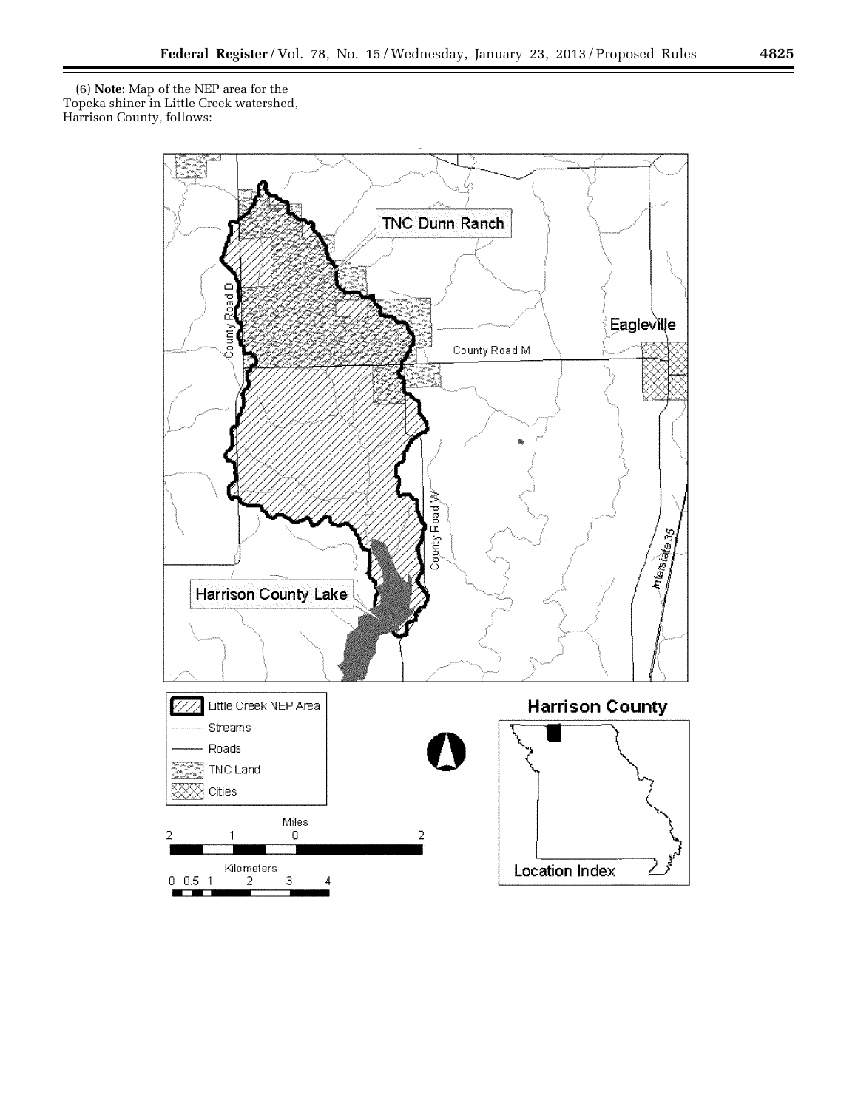(6) **Note:** Map of the NEP area for the Topeka shiner in Little Creek watershed, Harrison County, follows:



٠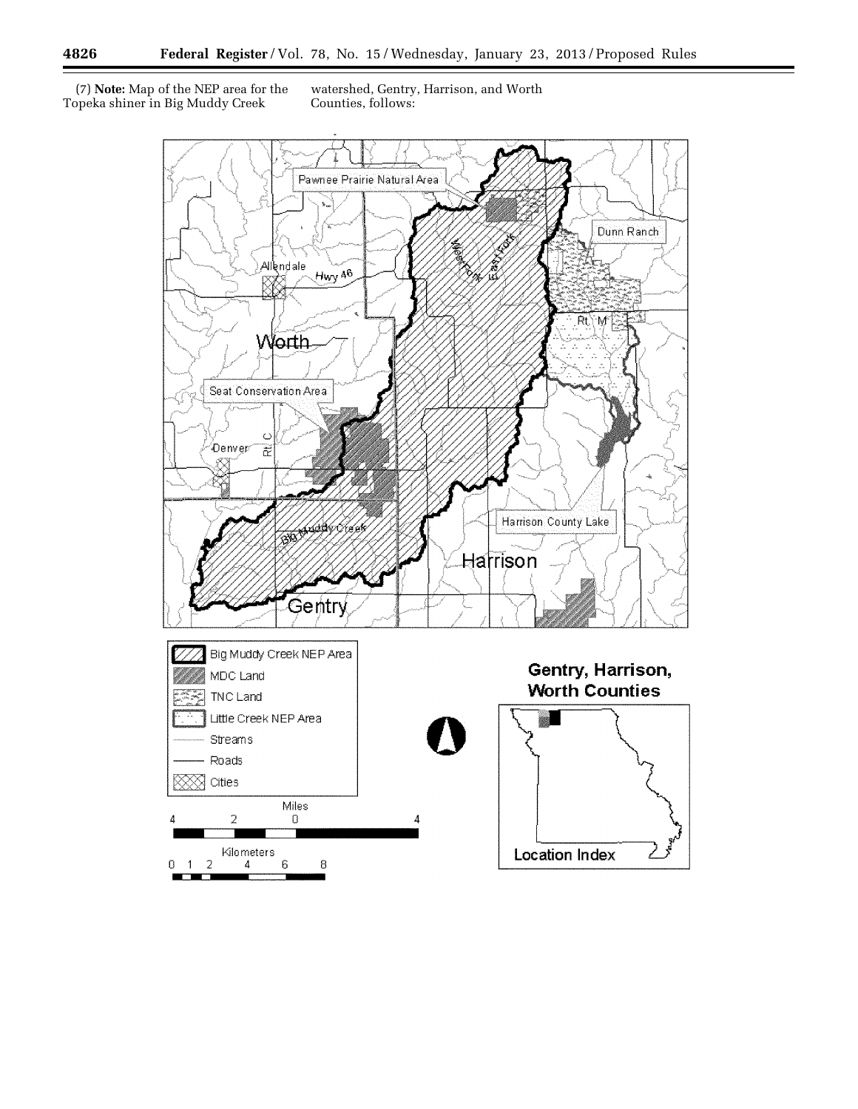(7) **Note:** Map of the NEP area for the Topeka shiner in Big Muddy Creek

watershed, Gentry, Harrison, and Worth Counties, follows:



п